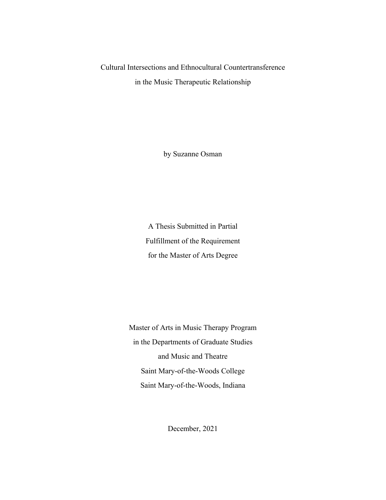# Cultural Intersections and Ethnocultural Countertransference in the Music Therapeutic Relationship

by Suzanne Osman

A Thesis Submitted in Partial Fulfillment of the Requirement for the Master of Arts Degree

Master of Arts in Music Therapy Program in the Departments of Graduate Studies and Music and Theatre Saint Mary-of-the-Woods College Saint Mary-of-the-Woods, Indiana

December, 2021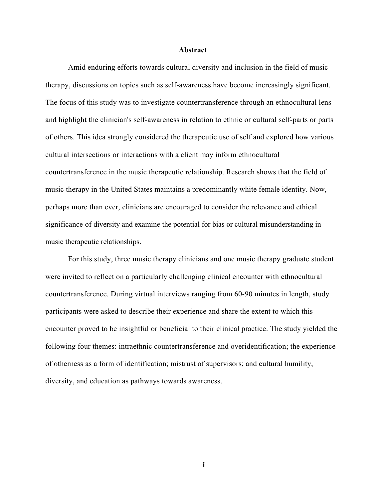#### **Abstract**

Amid enduring efforts towards cultural diversity and inclusion in the field of music therapy, discussions on topics such as self-awareness have become increasingly significant. The focus of this study was to investigate countertransference through an ethnocultural lens and highlight the clinician's self-awareness in relation to ethnic or cultural self-parts or parts of others. This idea strongly considered the therapeutic use of self and explored how various cultural intersections or interactions with a client may inform ethnocultural countertransference in the music therapeutic relationship. Research shows that the field of music therapy in the United States maintains a predominantly white female identity. Now, perhaps more than ever, clinicians are encouraged to consider the relevance and ethical significance of diversity and examine the potential for bias or cultural misunderstanding in music therapeutic relationships.

For this study, three music therapy clinicians and one music therapy graduate student were invited to reflect on a particularly challenging clinical encounter with ethnocultural countertransference. During virtual interviews ranging from 60-90 minutes in length, study participants were asked to describe their experience and share the extent to which this encounter proved to be insightful or beneficial to their clinical practice. The study yielded the following four themes: intraethnic countertransference and overidentification; the experience of otherness as a form of identification; mistrust of supervisors; and cultural humility, diversity, and education as pathways towards awareness.

ii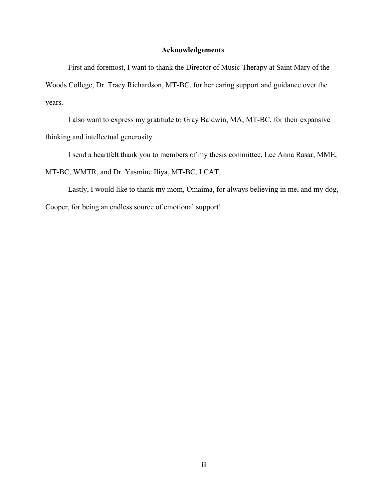### **Acknowledgements**

First and foremost, I want to thank the Director of Music Therapy at Saint Mary of the Woods College, Dr. Tracy Richardson, MT-BC, for her caring support and guidance over the years.

 I also want to express my gratitude to Gray Baldwin, MA, MT-BC, for their expansive thinking and intellectual generosity.

I send a heartfelt thank you to members of my thesis committee, Lee Anna Rasar, MME, MT-BC, WMTR, and Dr. Yasmine Iliya, MT-BC, LCAT.

 Lastly, I would like to thank my mom, Omaima, for always believing in me, and my dog, Cooper, for being an endless source of emotional support!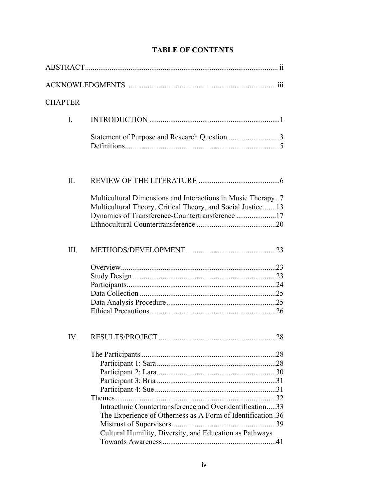| <b>CHAPTER</b> |                                                                                                                                                                                |  |  |
|----------------|--------------------------------------------------------------------------------------------------------------------------------------------------------------------------------|--|--|
| I.             |                                                                                                                                                                                |  |  |
|                | Statement of Purpose and Research Question 3                                                                                                                                   |  |  |
| II.            |                                                                                                                                                                                |  |  |
|                | Multicultural Dimensions and Interactions in Music Therapy7<br>Multicultural Theory, Critical Theory, and Social Justice 13<br>Dynamics of Transference-Countertransference 17 |  |  |
| III.           |                                                                                                                                                                                |  |  |
|                |                                                                                                                                                                                |  |  |
| IV.            | Intraethnic Countertransference and Overidentification33<br>The Experience of Otherness as A Form of Identification .36                                                        |  |  |
|                | Cultural Humility, Diversity, and Education as Pathways                                                                                                                        |  |  |

# **TABLE OF CONTENTS**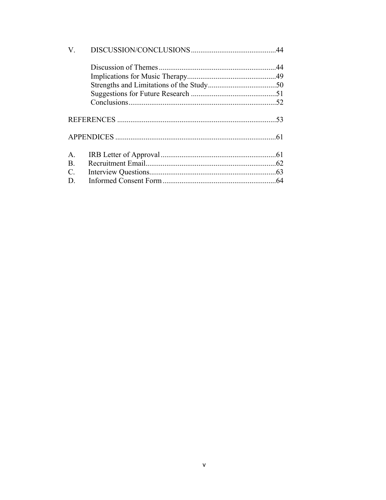| A.             |  |
|----------------|--|
| <b>B.</b>      |  |
| $\mathbf{C}$ . |  |
| D.             |  |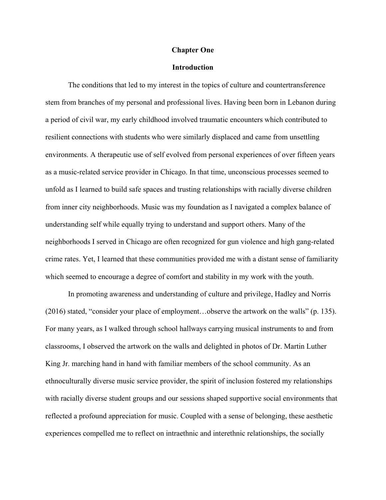#### **Chapter One**

# **Introduction**

The conditions that led to my interest in the topics of culture and countertransference stem from branches of my personal and professional lives. Having been born in Lebanon during a period of civil war, my early childhood involved traumatic encounters which contributed to resilient connections with students who were similarly displaced and came from unsettling environments. A therapeutic use of self evolved from personal experiences of over fifteen years as a music-related service provider in Chicago. In that time, unconscious processes seemed to unfold as I learned to build safe spaces and trusting relationships with racially diverse children from inner city neighborhoods. Music was my foundation as I navigated a complex balance of understanding self while equally trying to understand and support others. Many of the neighborhoods I served in Chicago are often recognized for gun violence and high gang-related crime rates. Yet, I learned that these communities provided me with a distant sense of familiarity which seemed to encourage a degree of comfort and stability in my work with the youth.

In promoting awareness and understanding of culture and privilege, Hadley and Norris (2016) stated, "consider your place of employment…observe the artwork on the walls" (p. 135). For many years, as I walked through school hallways carrying musical instruments to and from classrooms, I observed the artwork on the walls and delighted in photos of Dr. Martin Luther King Jr. marching hand in hand with familiar members of the school community. As an ethnoculturally diverse music service provider, the spirit of inclusion fostered my relationships with racially diverse student groups and our sessions shaped supportive social environments that reflected a profound appreciation for music. Coupled with a sense of belonging, these aesthetic experiences compelled me to reflect on intraethnic and interethnic relationships, the socially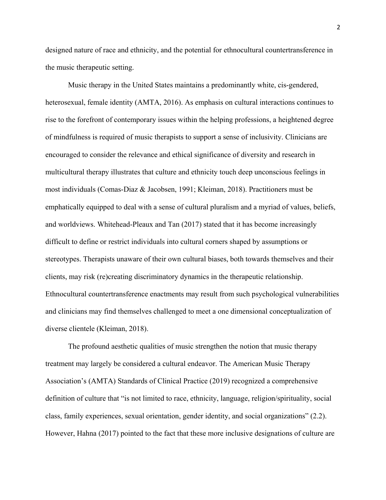designed nature of race and ethnicity, and the potential for ethnocultural countertransference in the music therapeutic setting.

Music therapy in the United States maintains a predominantly white, cis-gendered, heterosexual, female identity (AMTA, 2016). As emphasis on cultural interactions continues to rise to the forefront of contemporary issues within the helping professions, a heightened degree of mindfulness is required of music therapists to support a sense of inclusivity. Clinicians are encouraged to consider the relevance and ethical significance of diversity and research in multicultural therapy illustrates that culture and ethnicity touch deep unconscious feelings in most individuals (Comas-Diaz & Jacobsen, 1991; Kleiman, 2018). Practitioners must be emphatically equipped to deal with a sense of cultural pluralism and a myriad of values, beliefs, and worldviews. Whitehead-Pleaux and Tan (2017) stated that it has become increasingly difficult to define or restrict individuals into cultural corners shaped by assumptions or stereotypes. Therapists unaware of their own cultural biases, both towards themselves and their clients, may risk (re)creating discriminatory dynamics in the therapeutic relationship. Ethnocultural countertransference enactments may result from such psychological vulnerabilities and clinicians may find themselves challenged to meet a one dimensional conceptualization of diverse clientele (Kleiman, 2018).

The profound aesthetic qualities of music strengthen the notion that music therapy treatment may largely be considered a cultural endeavor. The American Music Therapy Association's (AMTA) Standards of Clinical Practice (2019) recognized a comprehensive definition of culture that "is not limited to race, ethnicity, language, religion/spirituality, social class, family experiences, sexual orientation, gender identity, and social organizations" (2.2). However, Hahna (2017) pointed to the fact that these more inclusive designations of culture are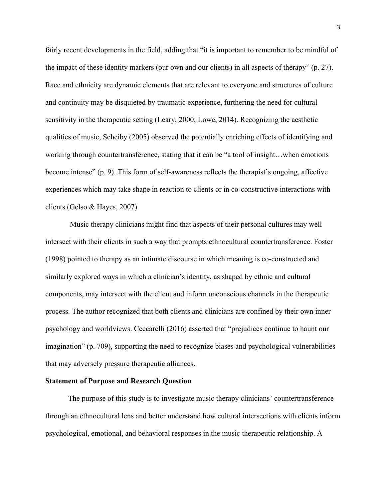fairly recent developments in the field, adding that "it is important to remember to be mindful of the impact of these identity markers (our own and our clients) in all aspects of therapy" (p. 27). Race and ethnicity are dynamic elements that are relevant to everyone and structures of culture and continuity may be disquieted by traumatic experience, furthering the need for cultural sensitivity in the therapeutic setting (Leary, 2000; Lowe, 2014). Recognizing the aesthetic qualities of music, Scheiby (2005) observed the potentially enriching effects of identifying and working through countertransference, stating that it can be "a tool of insight…when emotions become intense" (p. 9). This form of self-awareness reflects the therapist's ongoing, affective experiences which may take shape in reaction to clients or in co-constructive interactions with clients (Gelso & Hayes, 2007).

Music therapy clinicians might find that aspects of their personal cultures may well intersect with their clients in such a way that prompts ethnocultural countertransference. Foster (1998) pointed to therapy as an intimate discourse in which meaning is co-constructed and similarly explored ways in which a clinician's identity, as shaped by ethnic and cultural components, may intersect with the client and inform unconscious channels in the therapeutic process. The author recognized that both clients and clinicians are confined by their own inner psychology and worldviews. Ceccarelli (2016) asserted that "prejudices continue to haunt our imagination" (p. 709), supporting the need to recognize biases and psychological vulnerabilities that may adversely pressure therapeutic alliances.

### **Statement of Purpose and Research Question**

The purpose of this study is to investigate music therapy clinicians' countertransference through an ethnocultural lens and better understand how cultural intersections with clients inform psychological, emotional, and behavioral responses in the music therapeutic relationship. A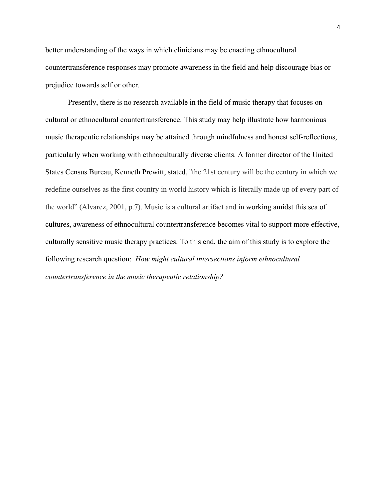better understanding of the ways in which clinicians may be enacting ethnocultural countertransference responses may promote awareness in the field and help discourage bias or prejudice towards self or other.

Presently, there is no research available in the field of music therapy that focuses on cultural or ethnocultural countertransference. This study may help illustrate how harmonious music therapeutic relationships may be attained through mindfulness and honest self-reflections, particularly when working with ethnoculturally diverse clients. A former director of the United States Census Bureau, Kenneth Prewitt, stated, ''the 21st century will be the century in which we redefine ourselves as the first country in world history which is literally made up of every part of the world" (Alvarez, 2001, p.7). Music is a cultural artifact and in working amidst this sea of cultures, awareness of ethnocultural countertransference becomes vital to support more effective, culturally sensitive music therapy practices. To this end, the aim of this study is to explore the following research question: *How might cultural intersections inform ethnocultural countertransference in the music therapeutic relationship?*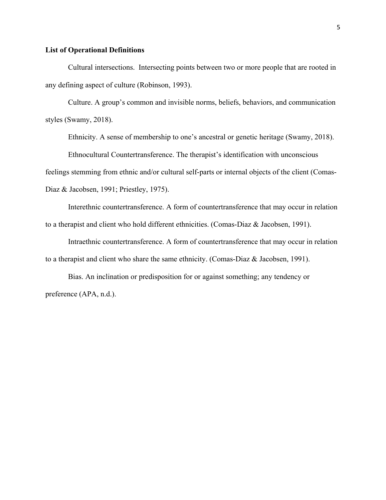### **List of Operational Definitions**

 Cultural intersections. Intersecting points between two or more people that are rooted in any defining aspect of culture (Robinson, 1993).

 Culture. A group's common and invisible norms, beliefs, behaviors, and communication styles (Swamy, 2018).

Ethnicity. A sense of membership to one's ancestral or genetic heritage (Swamy, 2018).

Ethnocultural Countertransference. The therapist's identification with unconscious

feelings stemming from ethnic and/or cultural self-parts or internal objects of the client (Comas-

Diaz & Jacobsen, 1991; Priestley, 1975).

Interethnic countertransference. A form of countertransference that may occur in relation to a therapist and client who hold different ethnicities. (Comas-Diaz & Jacobsen, 1991).

Intraethnic countertransference. A form of countertransference that may occur in relation to a therapist and client who share the same ethnicity. (Comas-Diaz & Jacobsen, 1991).

Bias. An inclination or predisposition for or against something; any tendency or preference (APA, n.d.).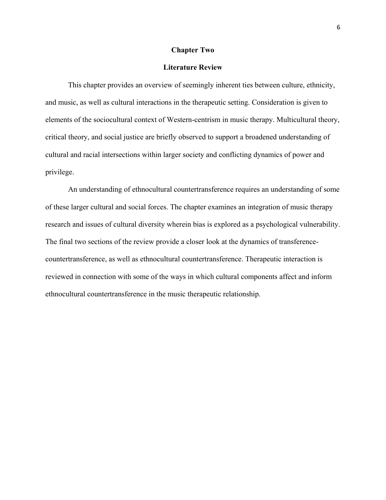#### **Chapter Two**

### **Literature Review**

This chapter provides an overview of seemingly inherent ties between culture, ethnicity, and music, as well as cultural interactions in the therapeutic setting. Consideration is given to elements of the sociocultural context of Western-centrism in music therapy. Multicultural theory, critical theory, and social justice are briefly observed to support a broadened understanding of cultural and racial intersections within larger society and conflicting dynamics of power and privilege.

An understanding of ethnocultural countertransference requires an understanding of some of these larger cultural and social forces. The chapter examines an integration of music therapy research and issues of cultural diversity wherein bias is explored as a psychological vulnerability. The final two sections of the review provide a closer look at the dynamics of transferencecountertransference, as well as ethnocultural countertransference. Therapeutic interaction is reviewed in connection with some of the ways in which cultural components affect and inform ethnocultural countertransference in the music therapeutic relationship.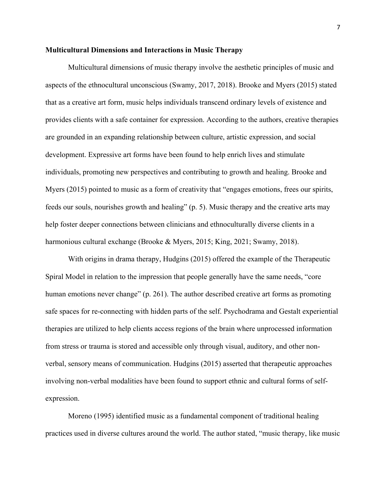### **Multicultural Dimensions and Interactions in Music Therapy**

Multicultural dimensions of music therapy involve the aesthetic principles of music and aspects of the ethnocultural unconscious (Swamy, 2017, 2018). Brooke and Myers (2015) stated that as a creative art form, music helps individuals transcend ordinary levels of existence and provides clients with a safe container for expression. According to the authors, creative therapies are grounded in an expanding relationship between culture, artistic expression, and social development. Expressive art forms have been found to help enrich lives and stimulate individuals, promoting new perspectives and contributing to growth and healing. Brooke and Myers (2015) pointed to music as a form of creativity that "engages emotions, frees our spirits, feeds our souls, nourishes growth and healing" (p. 5). Music therapy and the creative arts may help foster deeper connections between clinicians and ethnoculturally diverse clients in a harmonious cultural exchange (Brooke & Myers, 2015; King, 2021; Swamy, 2018).

With origins in drama therapy, Hudgins (2015) offered the example of the Therapeutic Spiral Model in relation to the impression that people generally have the same needs, "core human emotions never change" (p. 261). The author described creative art forms as promoting safe spaces for re-connecting with hidden parts of the self. Psychodrama and Gestalt experiential therapies are utilized to help clients access regions of the brain where unprocessed information from stress or trauma is stored and accessible only through visual, auditory, and other nonverbal, sensory means of communication. Hudgins (2015) asserted that therapeutic approaches involving non-verbal modalities have been found to support ethnic and cultural forms of selfexpression.

Moreno (1995) identified music as a fundamental component of traditional healing practices used in diverse cultures around the world. The author stated, "music therapy, like music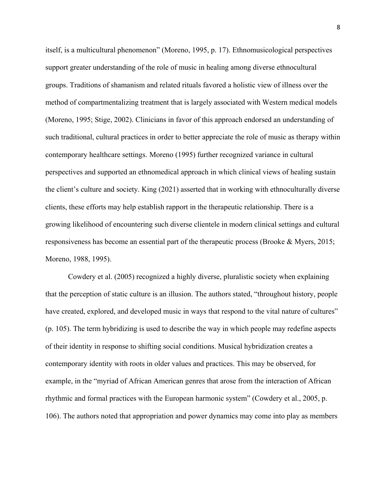itself, is a multicultural phenomenon" (Moreno, 1995, p. 17). Ethnomusicological perspectives support greater understanding of the role of music in healing among diverse ethnocultural groups. Traditions of shamanism and related rituals favored a holistic view of illness over the method of compartmentalizing treatment that is largely associated with Western medical models (Moreno, 1995; Stige, 2002). Clinicians in favor of this approach endorsed an understanding of such traditional, cultural practices in order to better appreciate the role of music as therapy within contemporary healthcare settings. Moreno (1995) further recognized variance in cultural perspectives and supported an ethnomedical approach in which clinical views of healing sustain the client's culture and society. King (2021) asserted that in working with ethnoculturally diverse clients, these efforts may help establish rapport in the therapeutic relationship. There is a growing likelihood of encountering such diverse clientele in modern clinical settings and cultural responsiveness has become an essential part of the therapeutic process (Brooke & Myers, 2015; Moreno, 1988, 1995).

Cowdery et al. (2005) recognized a highly diverse, pluralistic society when explaining that the perception of static culture is an illusion. The authors stated, "throughout history, people have created, explored, and developed music in ways that respond to the vital nature of cultures" (p. 105). The term hybridizing is used to describe the way in which people may redefine aspects of their identity in response to shifting social conditions. Musical hybridization creates a contemporary identity with roots in older values and practices. This may be observed, for example, in the "myriad of African American genres that arose from the interaction of African rhythmic and formal practices with the European harmonic system" (Cowdery et al., 2005, p. 106). The authors noted that appropriation and power dynamics may come into play as members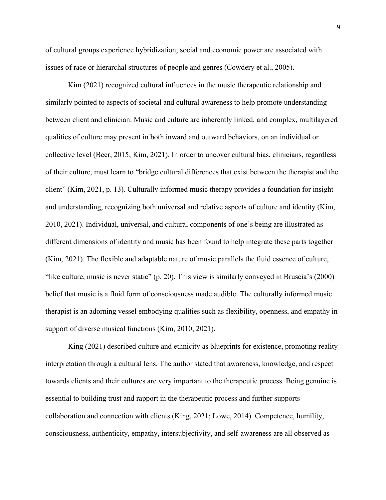of cultural groups experience hybridization; social and economic power are associated with issues of race or hierarchal structures of people and genres (Cowdery et al., 2005).

 Kim (2021) recognized cultural influences in the music therapeutic relationship and similarly pointed to aspects of societal and cultural awareness to help promote understanding between client and clinician. Music and culture are inherently linked, and complex, multilayered qualities of culture may present in both inward and outward behaviors, on an individual or collective level (Beer, 2015; Kim, 2021). In order to uncover cultural bias, clinicians, regardless of their culture, must learn to "bridge cultural differences that exist between the therapist and the client" (Kim, 2021, p. 13). Culturally informed music therapy provides a foundation for insight and understanding, recognizing both universal and relative aspects of culture and identity (Kim, 2010, 2021). Individual, universal, and cultural components of one's being are illustrated as different dimensions of identity and music has been found to help integrate these parts together (Kim, 2021). The flexible and adaptable nature of music parallels the fluid essence of culture, "like culture, music is never static" (p. 20). This view is similarly conveyed in Bruscia's (2000) belief that music is a fluid form of consciousness made audible. The culturally informed music therapist is an adorning vessel embodying qualities such as flexibility, openness, and empathy in support of diverse musical functions (Kim, 2010, 2021).

King (2021) described culture and ethnicity as blueprints for existence, promoting reality interpretation through a cultural lens. The author stated that awareness, knowledge, and respect towards clients and their cultures are very important to the therapeutic process. Being genuine is essential to building trust and rapport in the therapeutic process and further supports collaboration and connection with clients (King, 2021; Lowe, 2014). Competence, humility, consciousness, authenticity, empathy, intersubjectivity, and self-awareness are all observed as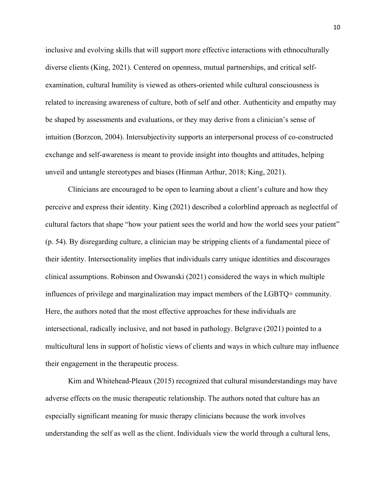inclusive and evolving skills that will support more effective interactions with ethnoculturally diverse clients (King, 2021). Centered on openness, mutual partnerships, and critical selfexamination, cultural humility is viewed as others-oriented while cultural consciousness is related to increasing awareness of culture, both of self and other. Authenticity and empathy may be shaped by assessments and evaluations, or they may derive from a clinician's sense of intuition (Borzcon, 2004). Intersubjectivity supports an interpersonal process of co-constructed exchange and self-awareness is meant to provide insight into thoughts and attitudes, helping unveil and untangle stereotypes and biases (Hinman Arthur, 2018; King, 2021).

Clinicians are encouraged to be open to learning about a client's culture and how they perceive and express their identity. King (2021) described a colorblind approach as neglectful of cultural factors that shape "how your patient sees the world and how the world sees your patient" (p. 54). By disregarding culture, a clinician may be stripping clients of a fundamental piece of their identity. Intersectionality implies that individuals carry unique identities and discourages clinical assumptions. Robinson and Oswanski (2021) considered the ways in which multiple influences of privilege and marginalization may impact members of the LGBTQ+ community. Here, the authors noted that the most effective approaches for these individuals are intersectional, radically inclusive, and not based in pathology. Belgrave (2021) pointed to a multicultural lens in support of holistic views of clients and ways in which culture may influence their engagement in the therapeutic process.

Kim and Whitehead-Pleaux (2015) recognized that cultural misunderstandings may have adverse effects on the music therapeutic relationship. The authors noted that culture has an especially significant meaning for music therapy clinicians because the work involves understanding the self as well as the client. Individuals view the world through a cultural lens,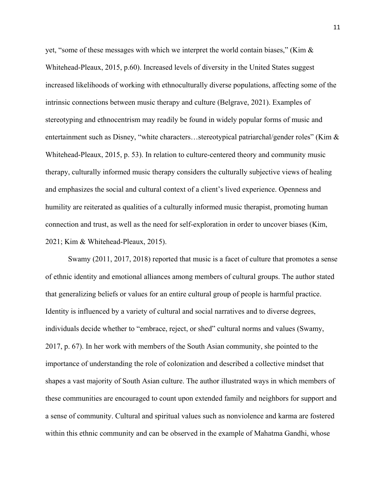yet, "some of these messages with which we interpret the world contain biases," (Kim  $\&$ Whitehead-Pleaux, 2015, p.60). Increased levels of diversity in the United States suggest increased likelihoods of working with ethnoculturally diverse populations, affecting some of the intrinsic connections between music therapy and culture (Belgrave, 2021). Examples of stereotyping and ethnocentrism may readily be found in widely popular forms of music and entertainment such as Disney, "white characters...stereotypical patriarchal/gender roles" (Kim & Whitehead-Pleaux, 2015, p. 53). In relation to culture-centered theory and community music therapy, culturally informed music therapy considers the culturally subjective views of healing and emphasizes the social and cultural context of a client's lived experience. Openness and humility are reiterated as qualities of a culturally informed music therapist, promoting human connection and trust, as well as the need for self-exploration in order to uncover biases (Kim, 2021; Kim & Whitehead-Pleaux, 2015).

Swamy (2011, 2017, 2018) reported that music is a facet of culture that promotes a sense of ethnic identity and emotional alliances among members of cultural groups. The author stated that generalizing beliefs or values for an entire cultural group of people is harmful practice. Identity is influenced by a variety of cultural and social narratives and to diverse degrees, individuals decide whether to "embrace, reject, or shed" cultural norms and values (Swamy, 2017, p. 67). In her work with members of the South Asian community, she pointed to the importance of understanding the role of colonization and described a collective mindset that shapes a vast majority of South Asian culture. The author illustrated ways in which members of these communities are encouraged to count upon extended family and neighbors for support and a sense of community. Cultural and spiritual values such as nonviolence and karma are fostered within this ethnic community and can be observed in the example of Mahatma Gandhi, whose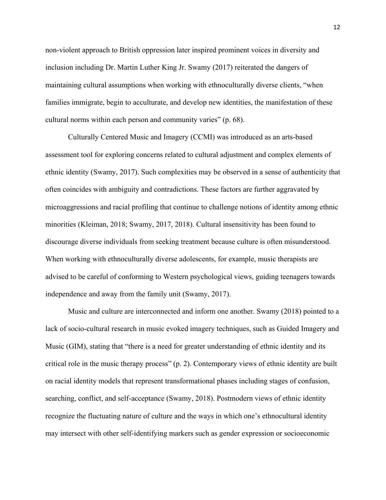non-violent approach to British oppression later inspired prominent voices in diversity and inclusion including Dr. Martin Luther King Jr. Swamy (2017) reiterated the dangers of maintaining cultural assumptions when working with ethnoculturally diverse clients, "when families immigrate, begin to acculturate, and develop new identities, the manifestation of these cultural norms within each person and community varies" (p. 68).

Culturally Centered Music and Imagery (CCMI) was introduced as an arts-based assessment tool for exploring concerns related to cultural adjustment and complex elements of ethnic identity (Swamy, 2017). Such complexities may be observed in a sense of authenticity that often coincides with ambiguity and contradictions. These factors are further aggravated by microaggressions and racial profiling that continue to challenge notions of identity among ethnic minorities (Kleiman, 2018; Swamy, 2017, 2018). Cultural insensitivity has been found to discourage diverse individuals from seeking treatment because culture is often misunderstood. When working with ethnoculturally diverse adolescents, for example, music therapists are advised to be careful of conforming to Western psychological views, guiding teenagers towards independence and away from the family unit (Swamy, 2017).

Music and culture are interconnected and inform one another. Swamy (2018) pointed to a lack of socio-cultural research in music evoked imagery techniques, such as Guided Imagery and Music (GIM), stating that "there is a need for greater understanding of ethnic identity and its critical role in the music therapy process" (p. 2). Contemporary views of ethnic identity are built on racial identity models that represent transformational phases including stages of confusion, searching, conflict, and self-acceptance (Swamy, 2018). Postmodern views of ethnic identity recognize the fluctuating nature of culture and the ways in which one's ethnocultural identity may intersect with other self-identifying markers such as gender expression or socioeconomic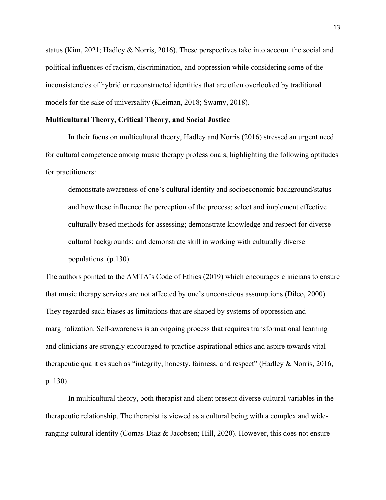status (Kim, 2021; Hadley & Norris, 2016). These perspectives take into account the social and political influences of racism, discrimination, and oppression while considering some of the inconsistencies of hybrid or reconstructed identities that are often overlooked by traditional models for the sake of universality (Kleiman, 2018; Swamy, 2018).

#### **Multicultural Theory, Critical Theory, and Social Justice**

In their focus on multicultural theory, Hadley and Norris (2016) stressed an urgent need for cultural competence among music therapy professionals, highlighting the following aptitudes for practitioners:

demonstrate awareness of one's cultural identity and socioeconomic background/status and how these influence the perception of the process; select and implement effective culturally based methods for assessing; demonstrate knowledge and respect for diverse cultural backgrounds; and demonstrate skill in working with culturally diverse populations. (p.130)

The authors pointed to the AMTA's Code of Ethics (2019) which encourages clinicians to ensure that music therapy services are not affected by one's unconscious assumptions (Dileo, 2000). They regarded such biases as limitations that are shaped by systems of oppression and marginalization. Self-awareness is an ongoing process that requires transformational learning and clinicians are strongly encouraged to practice aspirational ethics and aspire towards vital therapeutic qualities such as "integrity, honesty, fairness, and respect" (Hadley & Norris, 2016, p. 130).

In multicultural theory, both therapist and client present diverse cultural variables in the therapeutic relationship. The therapist is viewed as a cultural being with a complex and wideranging cultural identity (Comas-Diaz & Jacobsen; Hill, 2020). However, this does not ensure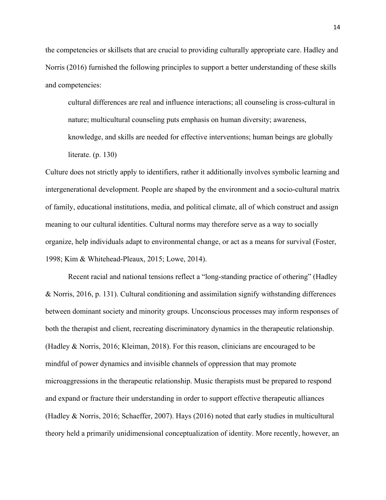the competencies or skillsets that are crucial to providing culturally appropriate care. Hadley and Norris (2016) furnished the following principles to support a better understanding of these skills and competencies:

cultural differences are real and influence interactions; all counseling is cross-cultural in nature; multicultural counseling puts emphasis on human diversity; awareness,

 knowledge, and skills are needed for effective interventions; human beings are globally literate. (p. 130)

Culture does not strictly apply to identifiers, rather it additionally involves symbolic learning and intergenerational development. People are shaped by the environment and a socio-cultural matrix of family, educational institutions, media, and political climate, all of which construct and assign meaning to our cultural identities. Cultural norms may therefore serve as a way to socially organize, help individuals adapt to environmental change, or act as a means for survival (Foster, 1998; Kim & Whitehead-Pleaux, 2015; Lowe, 2014).

Recent racial and national tensions reflect a "long-standing practice of othering" (Hadley & Norris, 2016, p. 131). Cultural conditioning and assimilation signify withstanding differences between dominant society and minority groups. Unconscious processes may inform responses of both the therapist and client, recreating discriminatory dynamics in the therapeutic relationship. (Hadley & Norris, 2016; Kleiman, 2018). For this reason, clinicians are encouraged to be mindful of power dynamics and invisible channels of oppression that may promote microaggressions in the therapeutic relationship. Music therapists must be prepared to respond and expand or fracture their understanding in order to support effective therapeutic alliances (Hadley & Norris, 2016; Schaeffer, 2007). Hays (2016) noted that early studies in multicultural theory held a primarily unidimensional conceptualization of identity. More recently, however, an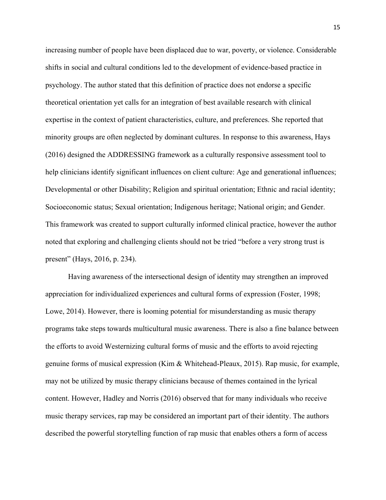increasing number of people have been displaced due to war, poverty, or violence. Considerable shifts in social and cultural conditions led to the development of evidence-based practice in psychology. The author stated that this definition of practice does not endorse a specific theoretical orientation yet calls for an integration of best available research with clinical expertise in the context of patient characteristics, culture, and preferences. She reported that minority groups are often neglected by dominant cultures. In response to this awareness, Hays (2016) designed the ADDRESSING framework as a culturally responsive assessment tool to help clinicians identify significant influences on client culture: Age and generational influences; Developmental or other Disability; Religion and spiritual orientation; Ethnic and racial identity; Socioeconomic status; Sexual orientation; Indigenous heritage; National origin; and Gender. This framework was created to support culturally informed clinical practice, however the author noted that exploring and challenging clients should not be tried "before a very strong trust is present" (Hays, 2016, p. 234).

 Having awareness of the intersectional design of identity may strengthen an improved appreciation for individualized experiences and cultural forms of expression (Foster, 1998; Lowe, 2014). However, there is looming potential for misunderstanding as music therapy programs take steps towards multicultural music awareness. There is also a fine balance between the efforts to avoid Westernizing cultural forms of music and the efforts to avoid rejecting genuine forms of musical expression (Kim & Whitehead-Pleaux, 2015). Rap music, for example, may not be utilized by music therapy clinicians because of themes contained in the lyrical content. However, Hadley and Norris (2016) observed that for many individuals who receive music therapy services, rap may be considered an important part of their identity. The authors described the powerful storytelling function of rap music that enables others a form of access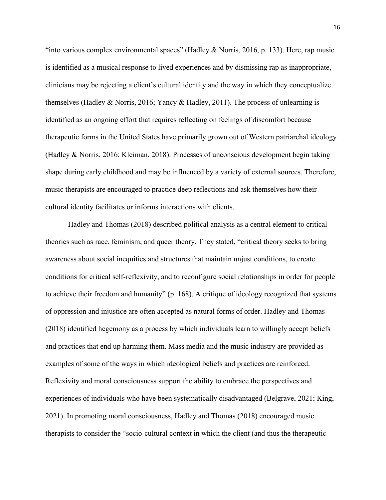"into various complex environmental spaces" (Hadley & Norris, 2016, p. 133). Here, rap music is identified as a musical response to lived experiences and by dismissing rap as inappropriate, clinicians may be rejecting a client's cultural identity and the way in which they conceptualize themselves (Hadley & Norris, 2016; Yancy & Hadley, 2011). The process of unlearning is identified as an ongoing effort that requires reflecting on feelings of discomfort because therapeutic forms in the United States have primarily grown out of Western patriarchal ideology (Hadley & Norris, 2016; Kleiman, 2018). Processes of unconscious development begin taking shape during early childhood and may be influenced by a variety of external sources. Therefore, music therapists are encouraged to practice deep reflections and ask themselves how their cultural identity facilitates or informs interactions with clients.

Hadley and Thomas (2018) described political analysis as a central element to critical theories such as race, feminism, and queer theory. They stated, "critical theory seeks to bring awareness about social inequities and structures that maintain unjust conditions, to create conditions for critical self-reflexivity, and to reconfigure social relationships in order for people to achieve their freedom and humanity" (p. 168). A critique of ideology recognized that systems of oppression and injustice are often accepted as natural forms of order. Hadley and Thomas (2018) identified hegemony as a process by which individuals learn to willingly accept beliefs and practices that end up harming them. Mass media and the music industry are provided as examples of some of the ways in which ideological beliefs and practices are reinforced. Reflexivity and moral consciousness support the ability to embrace the perspectives and experiences of individuals who have been systematically disadvantaged (Belgrave, 2021; King, 2021). In promoting moral consciousness, Hadley and Thomas (2018) encouraged music therapists to consider the "socio-cultural context in which the client (and thus the therapeutic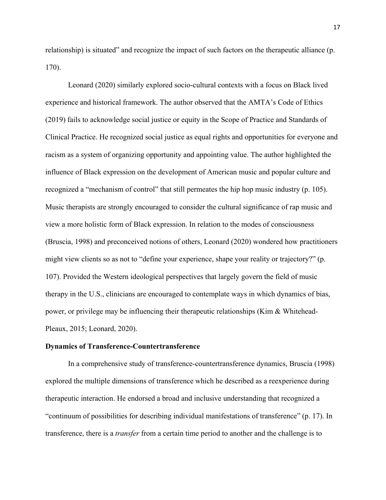relationship) is situated" and recognize the impact of such factors on the therapeutic alliance (p. 170).

Leonard (2020) similarly explored socio-cultural contexts with a focus on Black lived experience and historical framework. The author observed that the AMTA's Code of Ethics (2019) fails to acknowledge social justice or equity in the Scope of Practice and Standards of Clinical Practice. He recognized social justice as equal rights and opportunities for everyone and racism as a system of organizing opportunity and appointing value. The author highlighted the influence of Black expression on the development of American music and popular culture and recognized a "mechanism of control" that still permeates the hip hop music industry (p. 105). Music therapists are strongly encouraged to consider the cultural significance of rap music and view a more holistic form of Black expression. In relation to the modes of consciousness (Bruscia, 1998) and preconceived notions of others, Leonard (2020) wondered how practitioners might view clients so as not to "define your experience, shape your reality or trajectory?" (p. 107). Provided the Western ideological perspectives that largely govern the field of music therapy in the U.S., clinicians are encouraged to contemplate ways in which dynamics of bias, power, or privilege may be influencing their therapeutic relationships (Kim & Whitehead-Pleaux, 2015; Leonard, 2020).

#### **Dynamics of Transference-Countertransference**

In a comprehensive study of transference-countertransference dynamics, Bruscia (1998) explored the multiple dimensions of transference which he described as a reexperience during therapeutic interaction. He endorsed a broad and inclusive understanding that recognized a "continuum of possibilities for describing individual manifestations of transference" (p. 17). In transference, there is a *transfer* from a certain time period to another and the challenge is to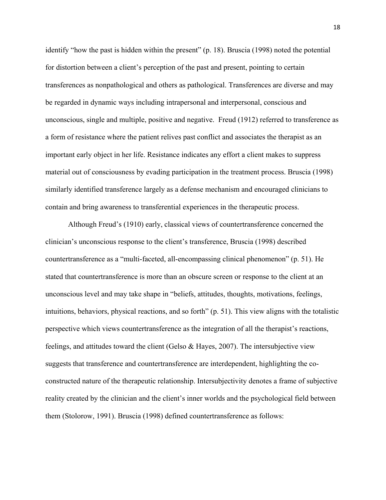identify "how the past is hidden within the present" (p. 18). Bruscia (1998) noted the potential for distortion between a client's perception of the past and present, pointing to certain transferences as nonpathological and others as pathological. Transferences are diverse and may be regarded in dynamic ways including intrapersonal and interpersonal, conscious and unconscious, single and multiple, positive and negative. Freud (1912) referred to transference as a form of resistance where the patient relives past conflict and associates the therapist as an important early object in her life. Resistance indicates any effort a client makes to suppress material out of consciousness by evading participation in the treatment process. Bruscia (1998) similarly identified transference largely as a defense mechanism and encouraged clinicians to contain and bring awareness to transferential experiences in the therapeutic process.

Although Freud's (1910) early, classical views of countertransference concerned the clinician's unconscious response to the client's transference, Bruscia (1998) described countertransference as a "multi-faceted, all-encompassing clinical phenomenon" (p. 51). He stated that countertransference is more than an obscure screen or response to the client at an unconscious level and may take shape in "beliefs, attitudes, thoughts, motivations, feelings, intuitions, behaviors, physical reactions, and so forth" (p. 51). This view aligns with the totalistic perspective which views countertransference as the integration of all the therapist's reactions, feelings, and attitudes toward the client (Gelso & Hayes, 2007). The intersubjective view suggests that transference and countertransference are interdependent, highlighting the coconstructed nature of the therapeutic relationship. Intersubjectivity denotes a frame of subjective reality created by the clinician and the client's inner worlds and the psychological field between them (Stolorow, 1991). Bruscia (1998) defined countertransference as follows: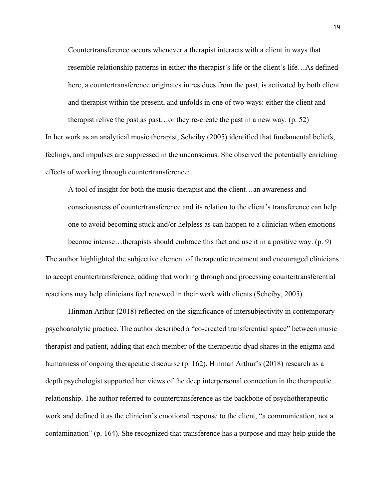Countertransference occurs whenever a therapist interacts with a client in ways that resemble relationship patterns in either the therapist's life or the client's life…As defined here, a countertransference originates in residues from the past, is activated by both client and therapist within the present, and unfolds in one of two ways: either the client and therapist relive the past as past…or they re-create the past in a new way. (p. 52)

In her work as an analytical music therapist, Scheiby (2005) identified that fundamental beliefs, feelings, and impulses are suppressed in the unconscious. She observed the potentially enriching effects of working through countertransference:

A tool of insight for both the music therapist and the client…an awareness and consciousness of countertransference and its relation to the client's transference can help one to avoid becoming stuck and/or helpless as can happen to a clinician when emotions become intense…therapists should embrace this fact and use it in a positive way. (p. 9) The author highlighted the subjective element of therapeutic treatment and encouraged clinicians to accept countertransference, adding that working through and processing countertransferential reactions may help clinicians feel renewed in their work with clients (Scheiby, 2005).

Hinman Arthur (2018) reflected on the significance of intersubjectivity in contemporary psychoanalytic practice. The author described a "co-created transferential space" between music therapist and patient, adding that each member of the therapeutic dyad shares in the enigma and humanness of ongoing therapeutic discourse (p. 162). Hinman Arthur's (2018) research as a depth psychologist supported her views of the deep interpersonal connection in the therapeutic relationship. The author referred to countertransference as the backbone of psychotherapeutic work and defined it as the clinician's emotional response to the client, "a communication, not a contamination" (p. 164). She recognized that transference has a purpose and may help guide the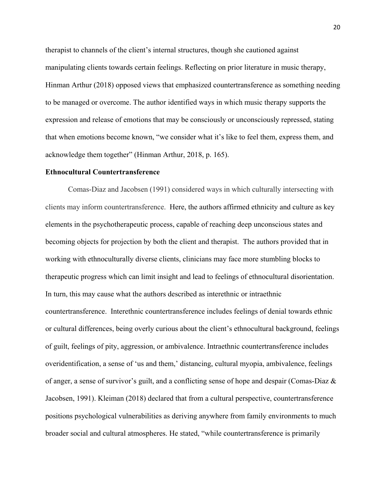therapist to channels of the client's internal structures, though she cautioned against manipulating clients towards certain feelings. Reflecting on prior literature in music therapy, Hinman Arthur (2018) opposed views that emphasized countertransference as something needing to be managed or overcome. The author identified ways in which music therapy supports the expression and release of emotions that may be consciously or unconsciously repressed, stating that when emotions become known, "we consider what it's like to feel them, express them, and acknowledge them together" (Hinman Arthur, 2018, p. 165).

#### **Ethnocultural Countertransference**

Comas-Diaz and Jacobsen (1991) considered ways in which culturally intersecting with clients may inform countertransference. Here, the authors affirmed ethnicity and culture as key elements in the psychotherapeutic process, capable of reaching deep unconscious states and becoming objects for projection by both the client and therapist. The authors provided that in working with ethnoculturally diverse clients, clinicians may face more stumbling blocks to therapeutic progress which can limit insight and lead to feelings of ethnocultural disorientation. In turn, this may cause what the authors described as interethnic or intraethnic countertransference. Interethnic countertransference includes feelings of denial towards ethnic or cultural differences, being overly curious about the client's ethnocultural background, feelings of guilt, feelings of pity, aggression, or ambivalence. Intraethnic countertransference includes overidentification, a sense of 'us and them,' distancing, cultural myopia, ambivalence, feelings of anger, a sense of survivor's guilt, and a conflicting sense of hope and despair (Comas-Diaz & Jacobsen, 1991). Kleiman (2018) declared that from a cultural perspective, countertransference positions psychological vulnerabilities as deriving anywhere from family environments to much broader social and cultural atmospheres. He stated, "while countertransference is primarily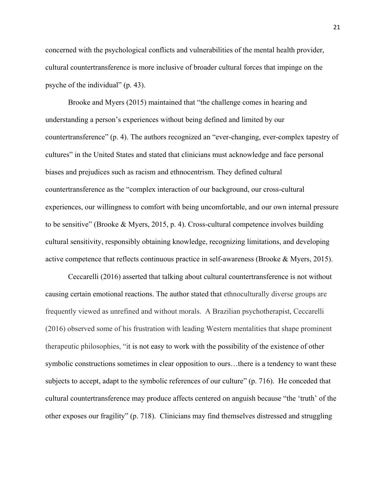concerned with the psychological conflicts and vulnerabilities of the mental health provider, cultural countertransference is more inclusive of broader cultural forces that impinge on the psyche of the individual" (p. 43).

Brooke and Myers (2015) maintained that "the challenge comes in hearing and understanding a person's experiences without being defined and limited by our countertransference" (p. 4). The authors recognized an "ever-changing, ever-complex tapestry of cultures" in the United States and stated that clinicians must acknowledge and face personal biases and prejudices such as racism and ethnocentrism. They defined cultural countertransference as the "complex interaction of our background, our cross-cultural experiences, our willingness to comfort with being uncomfortable, and our own internal pressure to be sensitive" (Brooke & Myers, 2015, p. 4). Cross-cultural competence involves building cultural sensitivity, responsibly obtaining knowledge, recognizing limitations, and developing active competence that reflects continuous practice in self-awareness (Brooke & Myers, 2015).

Ceccarelli (2016) asserted that talking about cultural countertransference is not without causing certain emotional reactions. The author stated that ethnoculturally diverse groups are frequently viewed as unrefined and without morals. A Brazilian psychotherapist, Ceccarelli (2016) observed some of his frustration with leading Western mentalities that shape prominent therapeutic philosophies, "it is not easy to work with the possibility of the existence of other symbolic constructions sometimes in clear opposition to ours…there is a tendency to want these subjects to accept, adapt to the symbolic references of our culture" (p. 716). He conceded that cultural countertransference may produce affects centered on anguish because "the 'truth' of the other exposes our fragility" (p. 718). Clinicians may find themselves distressed and struggling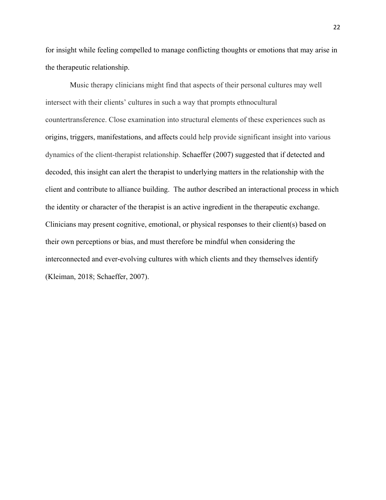for insight while feeling compelled to manage conflicting thoughts or emotions that may arise in the therapeutic relationship.

 Music therapy clinicians might find that aspects of their personal cultures may well intersect with their clients' cultures in such a way that prompts ethnocultural countertransference. Close examination into structural elements of these experiences such as origins, triggers, manifestations, and affects could help provide significant insight into various dynamics of the client-therapist relationship. Schaeffer (2007) suggested that if detected and decoded, this insight can alert the therapist to underlying matters in the relationship with the client and contribute to alliance building. The author described an interactional process in which the identity or character of the therapist is an active ingredient in the therapeutic exchange. Clinicians may present cognitive, emotional, or physical responses to their client(s) based on their own perceptions or bias, and must therefore be mindful when considering the interconnected and ever-evolving cultures with which clients and they themselves identify (Kleiman, 2018; Schaeffer, 2007).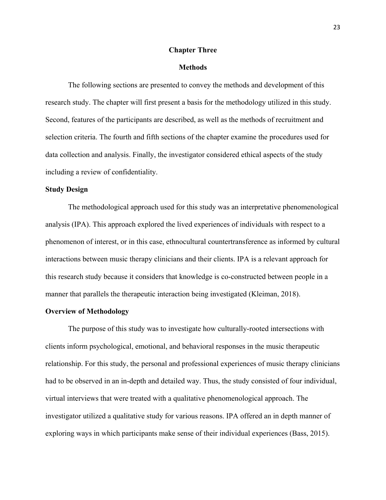#### **Chapter Three**

#### **Methods**

The following sections are presented to convey the methods and development of this research study. The chapter will first present a basis for the methodology utilized in this study. Second, features of the participants are described, as well as the methods of recruitment and selection criteria. The fourth and fifth sections of the chapter examine the procedures used for data collection and analysis. Finally, the investigator considered ethical aspects of the study including a review of confidentiality.

#### **Study Design**

The methodological approach used for this study was an interpretative phenomenological analysis (IPA). This approach explored the lived experiences of individuals with respect to a phenomenon of interest, or in this case, ethnocultural countertransference as informed by cultural interactions between music therapy clinicians and their clients. IPA is a relevant approach for this research study because it considers that knowledge is co-constructed between people in a manner that parallels the therapeutic interaction being investigated (Kleiman, 2018).

### **Overview of Methodology**

The purpose of this study was to investigate how culturally-rooted intersections with clients inform psychological, emotional, and behavioral responses in the music therapeutic relationship. For this study, the personal and professional experiences of music therapy clinicians had to be observed in an in-depth and detailed way. Thus, the study consisted of four individual, virtual interviews that were treated with a qualitative phenomenological approach. The investigator utilized a qualitative study for various reasons. IPA offered an in depth manner of exploring ways in which participants make sense of their individual experiences (Bass, 2015).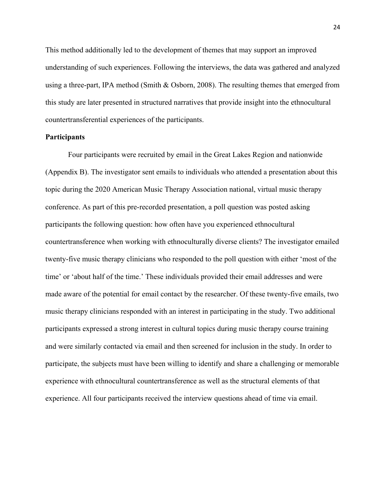This method additionally led to the development of themes that may support an improved understanding of such experiences. Following the interviews, the data was gathered and analyzed using a three-part, IPA method (Smith & Osborn, 2008). The resulting themes that emerged from this study are later presented in structured narratives that provide insight into the ethnocultural countertransferential experiences of the participants.

### **Participants**

Four participants were recruited by email in the Great Lakes Region and nationwide (Appendix B). The investigator sent emails to individuals who attended a presentation about this topic during the 2020 American Music Therapy Association national, virtual music therapy conference. As part of this pre-recorded presentation, a poll question was posted asking participants the following question: how often have you experienced ethnocultural countertransference when working with ethnoculturally diverse clients? The investigator emailed twenty-five music therapy clinicians who responded to the poll question with either 'most of the time' or 'about half of the time.' These individuals provided their email addresses and were made aware of the potential for email contact by the researcher. Of these twenty-five emails, two music therapy clinicians responded with an interest in participating in the study. Two additional participants expressed a strong interest in cultural topics during music therapy course training and were similarly contacted via email and then screened for inclusion in the study. In order to participate, the subjects must have been willing to identify and share a challenging or memorable experience with ethnocultural countertransference as well as the structural elements of that experience. All four participants received the interview questions ahead of time via email.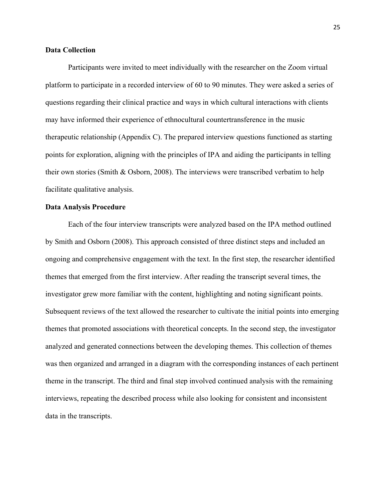### **Data Collection**

Participants were invited to meet individually with the researcher on the Zoom virtual platform to participate in a recorded interview of 60 to 90 minutes. They were asked a series of questions regarding their clinical practice and ways in which cultural interactions with clients may have informed their experience of ethnocultural countertransference in the music therapeutic relationship (Appendix C). The prepared interview questions functioned as starting points for exploration, aligning with the principles of IPA and aiding the participants in telling their own stories (Smith & Osborn, 2008). The interviews were transcribed verbatim to help facilitate qualitative analysis.

#### **Data Analysis Procedure**

Each of the four interview transcripts were analyzed based on the IPA method outlined by Smith and Osborn (2008). This approach consisted of three distinct steps and included an ongoing and comprehensive engagement with the text. In the first step, the researcher identified themes that emerged from the first interview. After reading the transcript several times, the investigator grew more familiar with the content, highlighting and noting significant points. Subsequent reviews of the text allowed the researcher to cultivate the initial points into emerging themes that promoted associations with theoretical concepts. In the second step, the investigator analyzed and generated connections between the developing themes. This collection of themes was then organized and arranged in a diagram with the corresponding instances of each pertinent theme in the transcript. The third and final step involved continued analysis with the remaining interviews, repeating the described process while also looking for consistent and inconsistent data in the transcripts.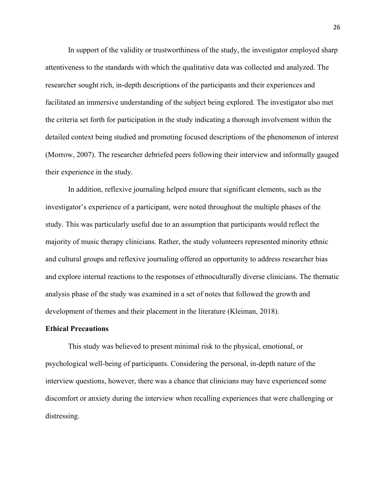In support of the validity or trustworthiness of the study, the investigator employed sharp attentiveness to the standards with which the qualitative data was collected and analyzed. The researcher sought rich, in-depth descriptions of the participants and their experiences and facilitated an immersive understanding of the subject being explored. The investigator also met the criteria set forth for participation in the study indicating a thorough involvement within the detailed context being studied and promoting focused descriptions of the phenomenon of interest (Morrow, 2007). The researcher debriefed peers following their interview and informally gauged their experience in the study.

In addition, reflexive journaling helped ensure that significant elements, such as the investigator's experience of a participant, were noted throughout the multiple phases of the study. This was particularly useful due to an assumption that participants would reflect the majority of music therapy clinicians. Rather, the study volunteers represented minority ethnic and cultural groups and reflexive journaling offered an opportunity to address researcher bias and explore internal reactions to the responses of ethnoculturally diverse clinicians. The thematic analysis phase of the study was examined in a set of notes that followed the growth and development of themes and their placement in the literature (Kleiman, 2018).

#### **Ethical Precautions**

This study was believed to present minimal risk to the physical, emotional, or psychological well-being of participants. Considering the personal, in-depth nature of the interview questions, however, there was a chance that clinicians may have experienced some discomfort or anxiety during the interview when recalling experiences that were challenging or distressing.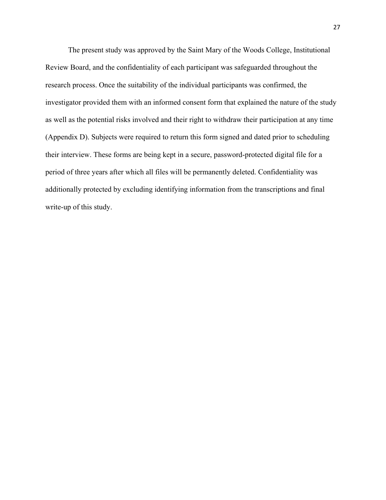The present study was approved by the Saint Mary of the Woods College, Institutional Review Board, and the confidentiality of each participant was safeguarded throughout the research process. Once the suitability of the individual participants was confirmed, the investigator provided them with an informed consent form that explained the nature of the study as well as the potential risks involved and their right to withdraw their participation at any time (Appendix D). Subjects were required to return this form signed and dated prior to scheduling their interview. These forms are being kept in a secure, password-protected digital file for a period of three years after which all files will be permanently deleted. Confidentiality was additionally protected by excluding identifying information from the transcriptions and final write-up of this study.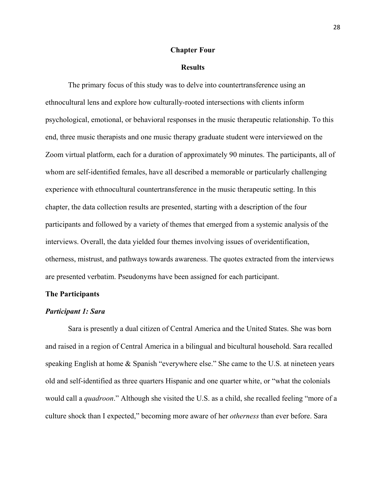#### **Chapter Four**

#### **Results**

The primary focus of this study was to delve into countertransference using an ethnocultural lens and explore how culturally-rooted intersections with clients inform psychological, emotional, or behavioral responses in the music therapeutic relationship. To this end, three music therapists and one music therapy graduate student were interviewed on the Zoom virtual platform, each for a duration of approximately 90 minutes. The participants, all of whom are self-identified females, have all described a memorable or particularly challenging experience with ethnocultural countertransference in the music therapeutic setting. In this chapter, the data collection results are presented, starting with a description of the four participants and followed by a variety of themes that emerged from a systemic analysis of the interviews. Overall, the data yielded four themes involving issues of overidentification, otherness, mistrust, and pathways towards awareness. The quotes extracted from the interviews are presented verbatim. Pseudonyms have been assigned for each participant.

#### **The Participants**

#### *Participant 1: Sara*

Sara is presently a dual citizen of Central America and the United States. She was born and raised in a region of Central America in a bilingual and bicultural household. Sara recalled speaking English at home & Spanish "everywhere else." She came to the U.S. at nineteen years old and self-identified as three quarters Hispanic and one quarter white, or "what the colonials would call a *quadroon*." Although she visited the U.S. as a child, she recalled feeling "more of a culture shock than I expected," becoming more aware of her *otherness* than ever before. Sara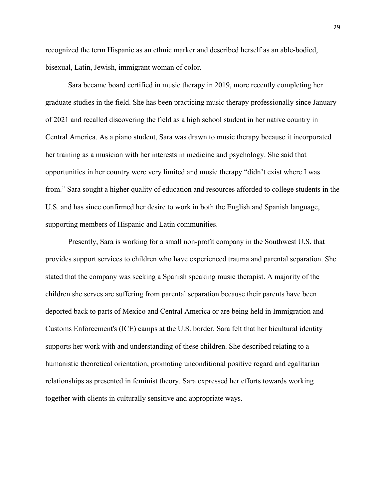recognized the term Hispanic as an ethnic marker and described herself as an able-bodied, bisexual, Latin, Jewish, immigrant woman of color.

Sara became board certified in music therapy in 2019, more recently completing her graduate studies in the field. She has been practicing music therapy professionally since January of 2021 and recalled discovering the field as a high school student in her native country in Central America. As a piano student, Sara was drawn to music therapy because it incorporated her training as a musician with her interests in medicine and psychology. She said that opportunities in her country were very limited and music therapy "didn't exist where I was from." Sara sought a higher quality of education and resources afforded to college students in the U.S. and has since confirmed her desire to work in both the English and Spanish language, supporting members of Hispanic and Latin communities.

Presently, Sara is working for a small non-profit company in the Southwest U.S. that provides support services to children who have experienced trauma and parental separation. She stated that the company was seeking a Spanish speaking music therapist. A majority of the children she serves are suffering from parental separation because their parents have been deported back to parts of Mexico and Central America or are being held in Immigration and Customs Enforcement's (ICE) camps at the U.S. border. Sara felt that her bicultural identity supports her work with and understanding of these children. She described relating to a humanistic theoretical orientation, promoting unconditional positive regard and egalitarian relationships as presented in feminist theory. Sara expressed her efforts towards working together with clients in culturally sensitive and appropriate ways.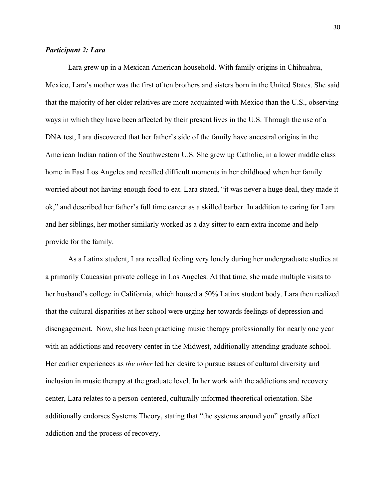### *Participant 2: Lara*

Lara grew up in a Mexican American household. With family origins in Chihuahua, Mexico, Lara's mother was the first of ten brothers and sisters born in the United States. She said that the majority of her older relatives are more acquainted with Mexico than the U.S., observing ways in which they have been affected by their present lives in the U.S. Through the use of a DNA test, Lara discovered that her father's side of the family have ancestral origins in the American Indian nation of the Southwestern U.S. She grew up Catholic, in a lower middle class home in East Los Angeles and recalled difficult moments in her childhood when her family worried about not having enough food to eat. Lara stated, "it was never a huge deal, they made it ok," and described her father's full time career as a skilled barber. In addition to caring for Lara and her siblings, her mother similarly worked as a day sitter to earn extra income and help provide for the family.

As a Latinx student, Lara recalled feeling very lonely during her undergraduate studies at a primarily Caucasian private college in Los Angeles. At that time, she made multiple visits to her husband's college in California, which housed a 50% Latinx student body. Lara then realized that the cultural disparities at her school were urging her towards feelings of depression and disengagement. Now, she has been practicing music therapy professionally for nearly one year with an addictions and recovery center in the Midwest, additionally attending graduate school. Her earlier experiences as *the other* led her desire to pursue issues of cultural diversity and inclusion in music therapy at the graduate level. In her work with the addictions and recovery center, Lara relates to a person-centered, culturally informed theoretical orientation. She additionally endorses Systems Theory, stating that "the systems around you" greatly affect addiction and the process of recovery.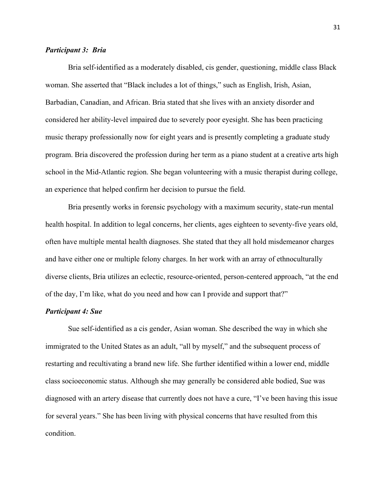### *Participant 3: Bria*

Bria self-identified as a moderately disabled, cis gender, questioning, middle class Black woman. She asserted that "Black includes a lot of things," such as English, Irish, Asian, Barbadian, Canadian, and African. Bria stated that she lives with an anxiety disorder and considered her ability-level impaired due to severely poor eyesight. She has been practicing music therapy professionally now for eight years and is presently completing a graduate study program. Bria discovered the profession during her term as a piano student at a creative arts high school in the Mid-Atlantic region. She began volunteering with a music therapist during college, an experience that helped confirm her decision to pursue the field.

Bria presently works in forensic psychology with a maximum security, state-run mental health hospital. In addition to legal concerns, her clients, ages eighteen to seventy-five years old, often have multiple mental health diagnoses. She stated that they all hold misdemeanor charges and have either one or multiple felony charges. In her work with an array of ethnoculturally diverse clients, Bria utilizes an eclectic, resource-oriented, person-centered approach, "at the end of the day, I'm like, what do you need and how can I provide and support that?"

### *Participant 4: Sue*

Sue self-identified as a cis gender, Asian woman. She described the way in which she immigrated to the United States as an adult, "all by myself," and the subsequent process of restarting and recultivating a brand new life. She further identified within a lower end, middle class socioeconomic status. Although she may generally be considered able bodied, Sue was diagnosed with an artery disease that currently does not have a cure, "I've been having this issue for several years." She has been living with physical concerns that have resulted from this condition.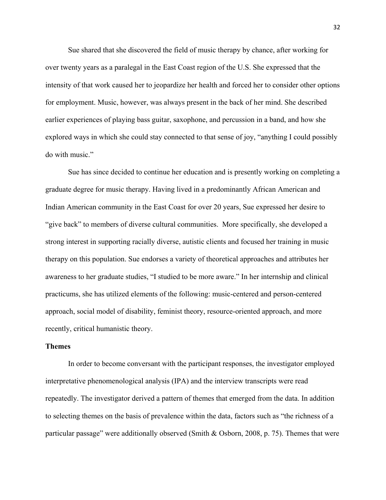Sue shared that she discovered the field of music therapy by chance, after working for over twenty years as a paralegal in the East Coast region of the U.S. She expressed that the intensity of that work caused her to jeopardize her health and forced her to consider other options for employment. Music, however, was always present in the back of her mind. She described earlier experiences of playing bass guitar, saxophone, and percussion in a band, and how she explored ways in which she could stay connected to that sense of joy, "anything I could possibly do with music."

Sue has since decided to continue her education and is presently working on completing a graduate degree for music therapy. Having lived in a predominantly African American and Indian American community in the East Coast for over 20 years, Sue expressed her desire to "give back" to members of diverse cultural communities. More specifically, she developed a strong interest in supporting racially diverse, autistic clients and focused her training in music therapy on this population. Sue endorses a variety of theoretical approaches and attributes her awareness to her graduate studies, "I studied to be more aware." In her internship and clinical practicums, she has utilized elements of the following: music-centered and person-centered approach, social model of disability, feminist theory, resource-oriented approach, and more recently, critical humanistic theory.

#### **Themes**

In order to become conversant with the participant responses, the investigator employed interpretative phenomenological analysis (IPA) and the interview transcripts were read repeatedly. The investigator derived a pattern of themes that emerged from the data. In addition to selecting themes on the basis of prevalence within the data, factors such as "the richness of a particular passage" were additionally observed (Smith & Osborn, 2008, p. 75). Themes that were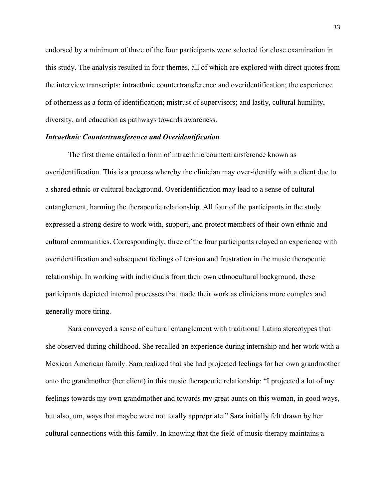endorsed by a minimum of three of the four participants were selected for close examination in this study. The analysis resulted in four themes, all of which are explored with direct quotes from the interview transcripts: intraethnic countertransference and overidentification; the experience of otherness as a form of identification; mistrust of supervisors; and lastly, cultural humility, diversity, and education as pathways towards awareness.

#### *Intraethnic Countertransference and Overidentification*

The first theme entailed a form of intraethnic countertransference known as overidentification. This is a process whereby the clinician may over-identify with a client due to a shared ethnic or cultural background. Overidentification may lead to a sense of cultural entanglement, harming the therapeutic relationship. All four of the participants in the study expressed a strong desire to work with, support, and protect members of their own ethnic and cultural communities. Correspondingly, three of the four participants relayed an experience with overidentification and subsequent feelings of tension and frustration in the music therapeutic relationship. In working with individuals from their own ethnocultural background, these participants depicted internal processes that made their work as clinicians more complex and generally more tiring.

Sara conveyed a sense of cultural entanglement with traditional Latina stereotypes that she observed during childhood. She recalled an experience during internship and her work with a Mexican American family. Sara realized that she had projected feelings for her own grandmother onto the grandmother (her client) in this music therapeutic relationship: "I projected a lot of my feelings towards my own grandmother and towards my great aunts on this woman, in good ways, but also, um, ways that maybe were not totally appropriate." Sara initially felt drawn by her cultural connections with this family. In knowing that the field of music therapy maintains a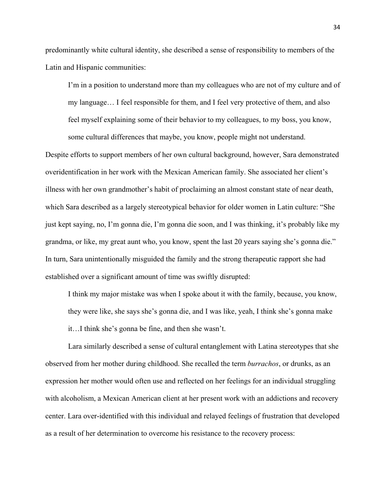predominantly white cultural identity, she described a sense of responsibility to members of the Latin and Hispanic communities:

 I'm in a position to understand more than my colleagues who are not of my culture and of my language… I feel responsible for them, and I feel very protective of them, and also feel myself explaining some of their behavior to my colleagues, to my boss, you know, some cultural differences that maybe, you know, people might not understand.

Despite efforts to support members of her own cultural background, however, Sara demonstrated overidentification in her work with the Mexican American family. She associated her client's illness with her own grandmother's habit of proclaiming an almost constant state of near death, which Sara described as a largely stereotypical behavior for older women in Latin culture: "She just kept saying, no, I'm gonna die, I'm gonna die soon, and I was thinking, it's probably like my grandma, or like, my great aunt who, you know, spent the last 20 years saying she's gonna die." In turn, Sara unintentionally misguided the family and the strong therapeutic rapport she had established over a significant amount of time was swiftly disrupted:

I think my major mistake was when I spoke about it with the family, because, you know, they were like, she says she's gonna die, and I was like, yeah, I think she's gonna make it…I think she's gonna be fine, and then she wasn't.

Lara similarly described a sense of cultural entanglement with Latina stereotypes that she observed from her mother during childhood. She recalled the term *burrachos*, or drunks, as an expression her mother would often use and reflected on her feelings for an individual struggling with alcoholism, a Mexican American client at her present work with an addictions and recovery center. Lara over-identified with this individual and relayed feelings of frustration that developed as a result of her determination to overcome his resistance to the recovery process: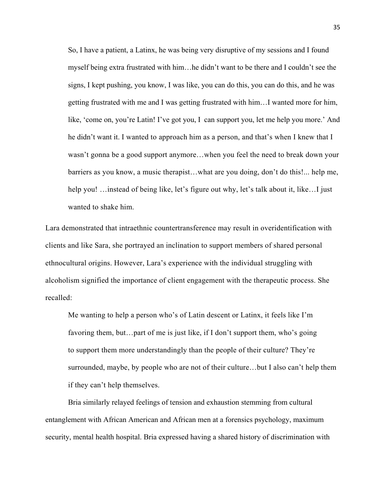So, I have a patient, a Latinx, he was being very disruptive of my sessions and I found myself being extra frustrated with him…he didn't want to be there and I couldn't see the signs, I kept pushing, you know, I was like, you can do this, you can do this, and he was getting frustrated with me and I was getting frustrated with him…I wanted more for him, like, 'come on, you're Latin! I've got you, I can support you, let me help you more.' And he didn't want it. I wanted to approach him as a person, and that's when I knew that I wasn't gonna be a good support anymore…when you feel the need to break down your barriers as you know, a music therapist…what are you doing, don't do this!... help me, help you! …instead of being like, let's figure out why, let's talk about it, like...I just wanted to shake him.

Lara demonstrated that intraethnic countertransference may result in overidentification with clients and like Sara, she portrayed an inclination to support members of shared personal ethnocultural origins. However, Lara's experience with the individual struggling with alcoholism signified the importance of client engagement with the therapeutic process. She recalled:

Me wanting to help a person who's of Latin descent or Latinx, it feels like I'm favoring them, but…part of me is just like, if I don't support them, who's going to support them more understandingly than the people of their culture? They're surrounded, maybe, by people who are not of their culture…but I also can't help them if they can't help themselves.

Bria similarly relayed feelings of tension and exhaustion stemming from cultural entanglement with African American and African men at a forensics psychology, maximum security, mental health hospital. Bria expressed having a shared history of discrimination with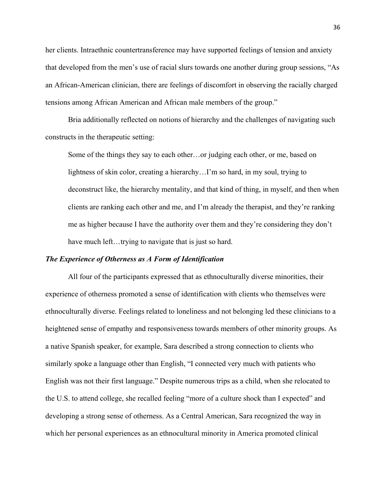her clients. Intraethnic countertransference may have supported feelings of tension and anxiety that developed from the men's use of racial slurs towards one another during group sessions, "As an African-American clinician, there are feelings of discomfort in observing the racially charged tensions among African American and African male members of the group."

Bria additionally reflected on notions of hierarchy and the challenges of navigating such constructs in the therapeutic setting:

 Some of the things they say to each other…or judging each other, or me, based on lightness of skin color, creating a hierarchy…I'm so hard, in my soul, trying to deconstruct like, the hierarchy mentality, and that kind of thing, in myself, and then when clients are ranking each other and me, and I'm already the therapist, and they're ranking me as higher because I have the authority over them and they're considering they don't have much left...trying to navigate that is just so hard.

#### *The Experience of Otherness as A Form of Identification*

All four of the participants expressed that as ethnoculturally diverse minorities, their experience of otherness promoted a sense of identification with clients who themselves were ethnoculturally diverse. Feelings related to loneliness and not belonging led these clinicians to a heightened sense of empathy and responsiveness towards members of other minority groups. As a native Spanish speaker, for example, Sara described a strong connection to clients who similarly spoke a language other than English, "I connected very much with patients who English was not their first language." Despite numerous trips as a child, when she relocated to the U.S. to attend college, she recalled feeling "more of a culture shock than I expected" and developing a strong sense of otherness. As a Central American, Sara recognized the way in which her personal experiences as an ethnocultural minority in America promoted clinical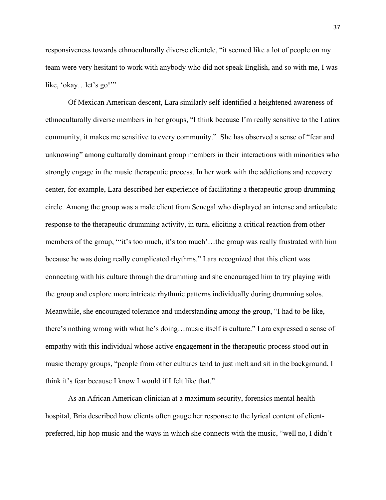responsiveness towards ethnoculturally diverse clientele, "it seemed like a lot of people on my team were very hesitant to work with anybody who did not speak English, and so with me, I was like, 'okay...let's go!"

Of Mexican American descent, Lara similarly self-identified a heightened awareness of ethnoculturally diverse members in her groups, "I think because I'm really sensitive to the Latinx community, it makes me sensitive to every community." She has observed a sense of "fear and unknowing" among culturally dominant group members in their interactions with minorities who strongly engage in the music therapeutic process. In her work with the addictions and recovery center, for example, Lara described her experience of facilitating a therapeutic group drumming circle. Among the group was a male client from Senegal who displayed an intense and articulate response to the therapeutic drumming activity, in turn, eliciting a critical reaction from other members of the group, ""it's too much, it's too much'...the group was really frustrated with him because he was doing really complicated rhythms." Lara recognized that this client was connecting with his culture through the drumming and she encouraged him to try playing with the group and explore more intricate rhythmic patterns individually during drumming solos. Meanwhile, she encouraged tolerance and understanding among the group, "I had to be like, there's nothing wrong with what he's doing…music itself is culture." Lara expressed a sense of empathy with this individual whose active engagement in the therapeutic process stood out in music therapy groups, "people from other cultures tend to just melt and sit in the background, I think it's fear because I know I would if I felt like that."

As an African American clinician at a maximum security, forensics mental health hospital, Bria described how clients often gauge her response to the lyrical content of clientpreferred, hip hop music and the ways in which she connects with the music, "well no, I didn't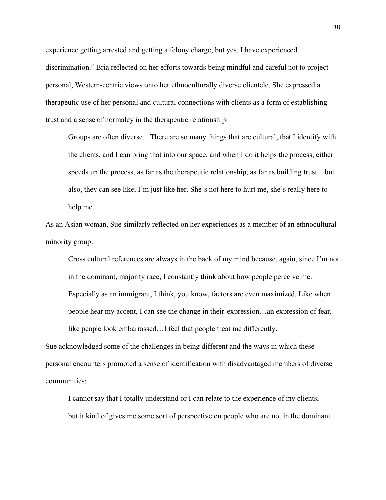experience getting arrested and getting a felony charge, but yes, I have experienced discrimination." Bria reflected on her efforts towards being mindful and careful not to project personal, Western-centric views onto her ethnoculturally diverse clientele. She expressed a therapeutic use of her personal and cultural connections with clients as a form of establishing trust and a sense of normalcy in the therapeutic relationship:

 Groups are often diverse…There are so many things that are cultural, that I identify with the clients, and I can bring that into our space, and when I do it helps the process, either speeds up the process, as far as the therapeutic relationship, as far as building trust…but also, they can see like, I'm just like her. She's not here to hurt me, she's really here to help me.

As an Asian woman, Sue similarly reflected on her experiences as a member of an ethnocultural minority group:

Cross cultural references are always in the back of my mind because, again, since I'm not in the dominant, majority race, I constantly think about how people perceive me. Especially as an immigrant, I think, you know, factors are even maximized. Like when people hear my accent, I can see the change in their expression…an expression of fear,

like people look embarrassed…I feel that people treat me differently.

Sue acknowledged some of the challenges in being different and the ways in which these personal encounters promoted a sense of identification with disadvantaged members of diverse communities:

 I cannot say that I totally understand or I can relate to the experience of my clients, but it kind of gives me some sort of perspective on people who are not in the dominant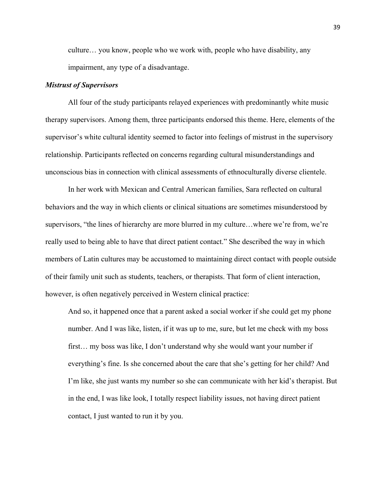culture… you know, people who we work with, people who have disability, any impairment, any type of a disadvantage.

#### *Mistrust of Supervisors*

 All four of the study participants relayed experiences with predominantly white music therapy supervisors. Among them, three participants endorsed this theme. Here, elements of the supervisor's white cultural identity seemed to factor into feelings of mistrust in the supervisory relationship. Participants reflected on concerns regarding cultural misunderstandings and unconscious bias in connection with clinical assessments of ethnoculturally diverse clientele.

In her work with Mexican and Central American families, Sara reflected on cultural behaviors and the way in which clients or clinical situations are sometimes misunderstood by supervisors, "the lines of hierarchy are more blurred in my culture…where we're from, we're really used to being able to have that direct patient contact." She described the way in which members of Latin cultures may be accustomed to maintaining direct contact with people outside of their family unit such as students, teachers, or therapists. That form of client interaction, however, is often negatively perceived in Western clinical practice:

 And so, it happened once that a parent asked a social worker if she could get my phone number. And I was like, listen, if it was up to me, sure, but let me check with my boss first… my boss was like, I don't understand why she would want your number if everything's fine. Is she concerned about the care that she's getting for her child? And I'm like, she just wants my number so she can communicate with her kid's therapist. But in the end, I was like look, I totally respect liability issues, not having direct patient contact, I just wanted to run it by you.

39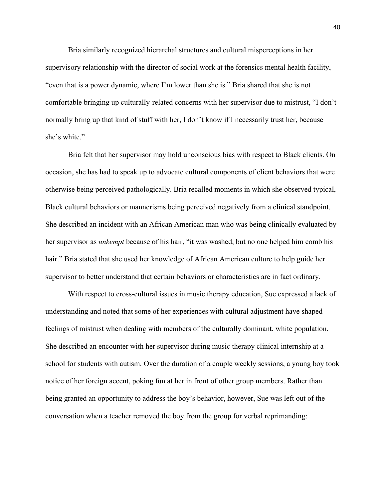Bria similarly recognized hierarchal structures and cultural misperceptions in her supervisory relationship with the director of social work at the forensics mental health facility, "even that is a power dynamic, where I'm lower than she is." Bria shared that she is not comfortable bringing up culturally-related concerns with her supervisor due to mistrust, "I don't normally bring up that kind of stuff with her, I don't know if I necessarily trust her, because she's white."

Bria felt that her supervisor may hold unconscious bias with respect to Black clients. On occasion, she has had to speak up to advocate cultural components of client behaviors that were otherwise being perceived pathologically. Bria recalled moments in which she observed typical, Black cultural behaviors or mannerisms being perceived negatively from a clinical standpoint. She described an incident with an African American man who was being clinically evaluated by her supervisor as *unkempt* because of his hair, "it was washed, but no one helped him comb his hair." Bria stated that she used her knowledge of African American culture to help guide her supervisor to better understand that certain behaviors or characteristics are in fact ordinary.

With respect to cross-cultural issues in music therapy education, Sue expressed a lack of understanding and noted that some of her experiences with cultural adjustment have shaped feelings of mistrust when dealing with members of the culturally dominant, white population. She described an encounter with her supervisor during music therapy clinical internship at a school for students with autism. Over the duration of a couple weekly sessions, a young boy took notice of her foreign accent, poking fun at her in front of other group members. Rather than being granted an opportunity to address the boy's behavior, however, Sue was left out of the conversation when a teacher removed the boy from the group for verbal reprimanding: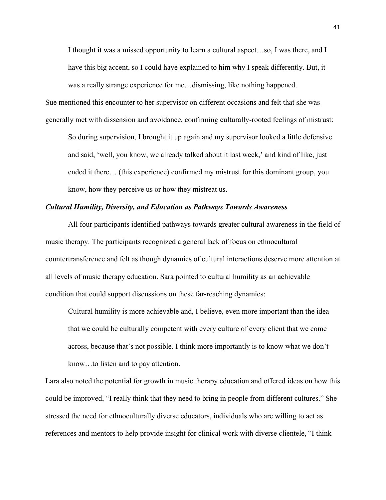I thought it was a missed opportunity to learn a cultural aspect…so, I was there, and I have this big accent, so I could have explained to him why I speak differently. But, it was a really strange experience for me…dismissing, like nothing happened.

Sue mentioned this encounter to her supervisor on different occasions and felt that she was generally met with dissension and avoidance, confirming culturally-rooted feelings of mistrust:

 So during supervision, I brought it up again and my supervisor looked a little defensive and said, 'well, you know, we already talked about it last week,' and kind of like, just ended it there… (this experience) confirmed my mistrust for this dominant group, you know, how they perceive us or how they mistreat us.

### *Cultural Humility, Diversity, and Education as Pathways Towards Awareness*

All four participants identified pathways towards greater cultural awareness in the field of music therapy. The participants recognized a general lack of focus on ethnocultural countertransference and felt as though dynamics of cultural interactions deserve more attention at all levels of music therapy education. Sara pointed to cultural humility as an achievable condition that could support discussions on these far-reaching dynamics:

 Cultural humility is more achievable and, I believe, even more important than the idea that we could be culturally competent with every culture of every client that we come across, because that's not possible. I think more importantly is to know what we don't know…to listen and to pay attention.

Lara also noted the potential for growth in music therapy education and offered ideas on how this could be improved, "I really think that they need to bring in people from different cultures." She stressed the need for ethnoculturally diverse educators, individuals who are willing to act as references and mentors to help provide insight for clinical work with diverse clientele, "I think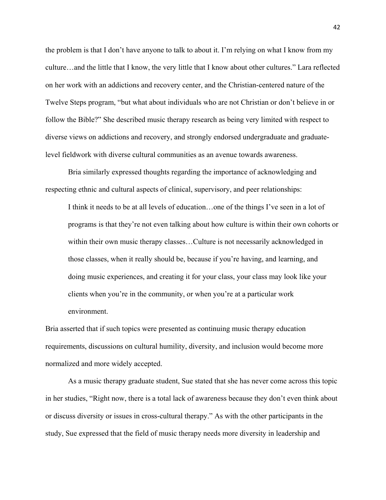the problem is that I don't have anyone to talk to about it. I'm relying on what I know from my culture…and the little that I know, the very little that I know about other cultures." Lara reflected on her work with an addictions and recovery center, and the Christian-centered nature of the Twelve Steps program, "but what about individuals who are not Christian or don't believe in or follow the Bible?" She described music therapy research as being very limited with respect to diverse views on addictions and recovery, and strongly endorsed undergraduate and graduatelevel fieldwork with diverse cultural communities as an avenue towards awareness.

Bria similarly expressed thoughts regarding the importance of acknowledging and respecting ethnic and cultural aspects of clinical, supervisory, and peer relationships:

 I think it needs to be at all levels of education…one of the things I've seen in a lot of programs is that they're not even talking about how culture is within their own cohorts or within their own music therapy classes…Culture is not necessarily acknowledged in those classes, when it really should be, because if you're having, and learning, and doing music experiences, and creating it for your class, your class may look like your clients when you're in the community, or when you're at a particular work environment.

Bria asserted that if such topics were presented as continuing music therapy education requirements, discussions on cultural humility, diversity, and inclusion would become more normalized and more widely accepted.

As a music therapy graduate student, Sue stated that she has never come across this topic in her studies, "Right now, there is a total lack of awareness because they don't even think about or discuss diversity or issues in cross-cultural therapy." As with the other participants in the study, Sue expressed that the field of music therapy needs more diversity in leadership and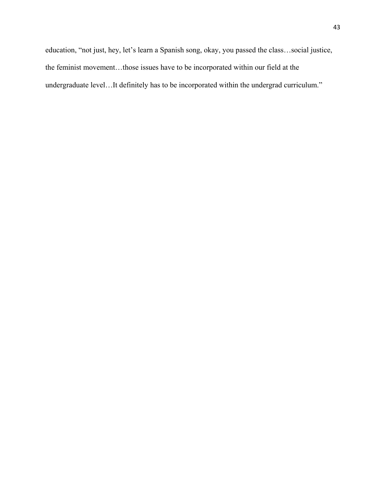education, "not just, hey, let's learn a Spanish song, okay, you passed the class…social justice, the feminist movement…those issues have to be incorporated within our field at the undergraduate level…It definitely has to be incorporated within the undergrad curriculum."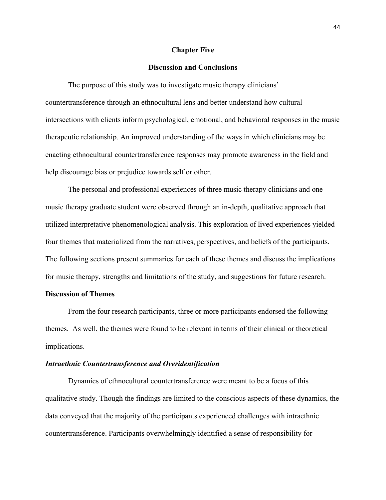#### **Chapter Five**

### **Discussion and Conclusions**

The purpose of this study was to investigate music therapy clinicians' countertransference through an ethnocultural lens and better understand how cultural intersections with clients inform psychological, emotional, and behavioral responses in the music therapeutic relationship. An improved understanding of the ways in which clinicians may be enacting ethnocultural countertransference responses may promote awareness in the field and help discourage bias or prejudice towards self or other.

The personal and professional experiences of three music therapy clinicians and one music therapy graduate student were observed through an in-depth, qualitative approach that utilized interpretative phenomenological analysis. This exploration of lived experiences yielded four themes that materialized from the narratives, perspectives, and beliefs of the participants. The following sections present summaries for each of these themes and discuss the implications for music therapy, strengths and limitations of the study, and suggestions for future research.

### **Discussion of Themes**

From the four research participants, three or more participants endorsed the following themes. As well, the themes were found to be relevant in terms of their clinical or theoretical implications.

#### *Intraethnic Countertransference and Overidentification*

Dynamics of ethnocultural countertransference were meant to be a focus of this qualitative study. Though the findings are limited to the conscious aspects of these dynamics, the data conveyed that the majority of the participants experienced challenges with intraethnic countertransference. Participants overwhelmingly identified a sense of responsibility for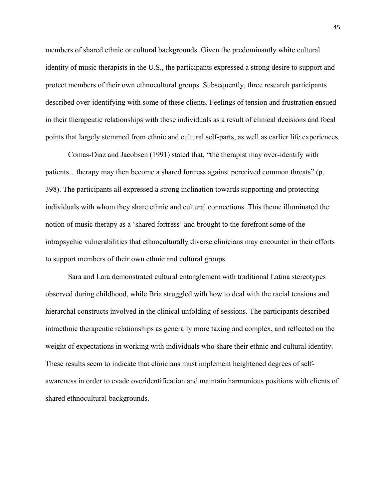members of shared ethnic or cultural backgrounds. Given the predominantly white cultural identity of music therapists in the U.S., the participants expressed a strong desire to support and protect members of their own ethnocultural groups. Subsequently, three research participants described over-identifying with some of these clients. Feelings of tension and frustration ensued in their therapeutic relationships with these individuals as a result of clinical decisions and focal points that largely stemmed from ethnic and cultural self-parts, as well as earlier life experiences.

Comas-Diaz and Jacobsen (1991) stated that, "the therapist may over-identify with patients…therapy may then become a shared fortress against perceived common threats" (p. 398). The participants all expressed a strong inclination towards supporting and protecting individuals with whom they share ethnic and cultural connections. This theme illuminated the notion of music therapy as a 'shared fortress' and brought to the forefront some of the intrapsychic vulnerabilities that ethnoculturally diverse clinicians may encounter in their efforts to support members of their own ethnic and cultural groups.

Sara and Lara demonstrated cultural entanglement with traditional Latina stereotypes observed during childhood, while Bria struggled with how to deal with the racial tensions and hierarchal constructs involved in the clinical unfolding of sessions. The participants described intraethnic therapeutic relationships as generally more taxing and complex, and reflected on the weight of expectations in working with individuals who share their ethnic and cultural identity. These results seem to indicate that clinicians must implement heightened degrees of selfawareness in order to evade overidentification and maintain harmonious positions with clients of shared ethnocultural backgrounds.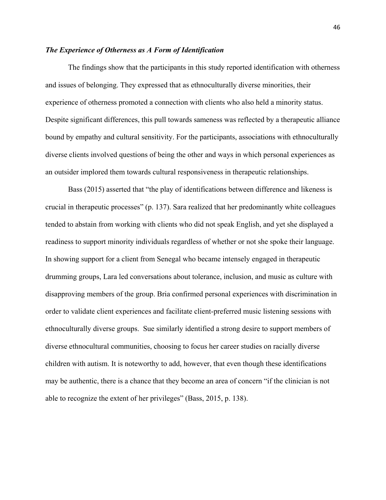### *The Experience of Otherness as A Form of Identification*

The findings show that the participants in this study reported identification with otherness and issues of belonging. They expressed that as ethnoculturally diverse minorities, their experience of otherness promoted a connection with clients who also held a minority status. Despite significant differences, this pull towards sameness was reflected by a therapeutic alliance bound by empathy and cultural sensitivity. For the participants, associations with ethnoculturally diverse clients involved questions of being the other and ways in which personal experiences as an outsider implored them towards cultural responsiveness in therapeutic relationships.

Bass (2015) asserted that "the play of identifications between difference and likeness is crucial in therapeutic processes" (p. 137). Sara realized that her predominantly white colleagues tended to abstain from working with clients who did not speak English, and yet she displayed a readiness to support minority individuals regardless of whether or not she spoke their language. In showing support for a client from Senegal who became intensely engaged in therapeutic drumming groups, Lara led conversations about tolerance, inclusion, and music as culture with disapproving members of the group. Bria confirmed personal experiences with discrimination in order to validate client experiences and facilitate client-preferred music listening sessions with ethnoculturally diverse groups. Sue similarly identified a strong desire to support members of diverse ethnocultural communities, choosing to focus her career studies on racially diverse children with autism. It is noteworthy to add, however, that even though these identifications may be authentic, there is a chance that they become an area of concern "if the clinician is not able to recognize the extent of her privileges" (Bass, 2015, p. 138).

46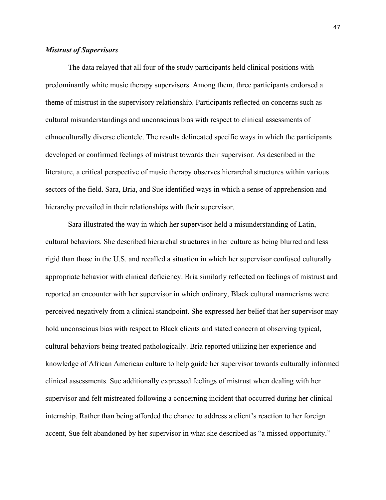### *Mistrust of Supervisors*

 The data relayed that all four of the study participants held clinical positions with predominantly white music therapy supervisors. Among them, three participants endorsed a theme of mistrust in the supervisory relationship. Participants reflected on concerns such as cultural misunderstandings and unconscious bias with respect to clinical assessments of ethnoculturally diverse clientele. The results delineated specific ways in which the participants developed or confirmed feelings of mistrust towards their supervisor. As described in the literature, a critical perspective of music therapy observes hierarchal structures within various sectors of the field. Sara, Bria, and Sue identified ways in which a sense of apprehension and hierarchy prevailed in their relationships with their supervisor.

 Sara illustrated the way in which her supervisor held a misunderstanding of Latin, cultural behaviors. She described hierarchal structures in her culture as being blurred and less rigid than those in the U.S. and recalled a situation in which her supervisor confused culturally appropriate behavior with clinical deficiency. Bria similarly reflected on feelings of mistrust and reported an encounter with her supervisor in which ordinary, Black cultural mannerisms were perceived negatively from a clinical standpoint. She expressed her belief that her supervisor may hold unconscious bias with respect to Black clients and stated concern at observing typical, cultural behaviors being treated pathologically. Bria reported utilizing her experience and knowledge of African American culture to help guide her supervisor towards culturally informed clinical assessments. Sue additionally expressed feelings of mistrust when dealing with her supervisor and felt mistreated following a concerning incident that occurred during her clinical internship. Rather than being afforded the chance to address a client's reaction to her foreign accent, Sue felt abandoned by her supervisor in what she described as "a missed opportunity."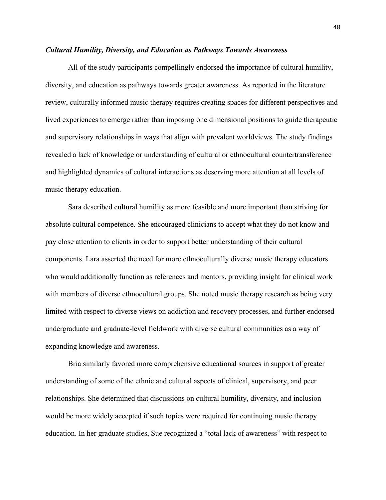#### *Cultural Humility, Diversity, and Education as Pathways Towards Awareness*

 All of the study participants compellingly endorsed the importance of cultural humility, diversity, and education as pathways towards greater awareness. As reported in the literature review, culturally informed music therapy requires creating spaces for different perspectives and lived experiences to emerge rather than imposing one dimensional positions to guide therapeutic and supervisory relationships in ways that align with prevalent worldviews. The study findings revealed a lack of knowledge or understanding of cultural or ethnocultural countertransference and highlighted dynamics of cultural interactions as deserving more attention at all levels of music therapy education.

Sara described cultural humility as more feasible and more important than striving for absolute cultural competence. She encouraged clinicians to accept what they do not know and pay close attention to clients in order to support better understanding of their cultural components. Lara asserted the need for more ethnoculturally diverse music therapy educators who would additionally function as references and mentors, providing insight for clinical work with members of diverse ethnocultural groups. She noted music therapy research as being very limited with respect to diverse views on addiction and recovery processes, and further endorsed undergraduate and graduate-level fieldwork with diverse cultural communities as a way of expanding knowledge and awareness.

Bria similarly favored more comprehensive educational sources in support of greater understanding of some of the ethnic and cultural aspects of clinical, supervisory, and peer relationships. She determined that discussions on cultural humility, diversity, and inclusion would be more widely accepted if such topics were required for continuing music therapy education. In her graduate studies, Sue recognized a "total lack of awareness" with respect to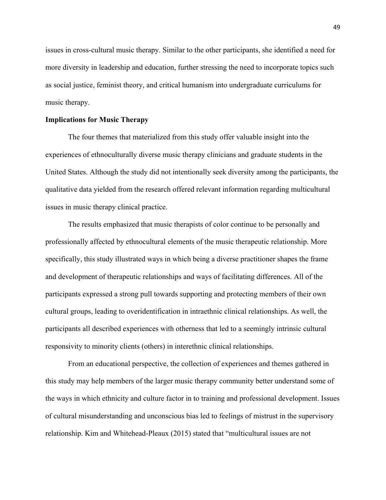issues in cross-cultural music therapy. Similar to the other participants, she identified a need for more diversity in leadership and education, further stressing the need to incorporate topics such as social justice, feminist theory, and critical humanism into undergraduate curriculums for music therapy.

#### **Implications for Music Therapy**

The four themes that materialized from this study offer valuable insight into the experiences of ethnoculturally diverse music therapy clinicians and graduate students in the United States. Although the study did not intentionally seek diversity among the participants, the qualitative data yielded from the research offered relevant information regarding multicultural issues in music therapy clinical practice.

The results emphasized that music therapists of color continue to be personally and professionally affected by ethnocultural elements of the music therapeutic relationship. More specifically, this study illustrated ways in which being a diverse practitioner shapes the frame and development of therapeutic relationships and ways of facilitating differences. All of the participants expressed a strong pull towards supporting and protecting members of their own cultural groups, leading to overidentification in intraethnic clinical relationships. As well, the participants all described experiences with otherness that led to a seemingly intrinsic cultural responsivity to minority clients (others) in interethnic clinical relationships.

From an educational perspective, the collection of experiences and themes gathered in this study may help members of the larger music therapy community better understand some of the ways in which ethnicity and culture factor in to training and professional development. Issues of cultural misunderstanding and unconscious bias led to feelings of mistrust in the supervisory relationship. Kim and Whitehead-Pleaux (2015) stated that "multicultural issues are not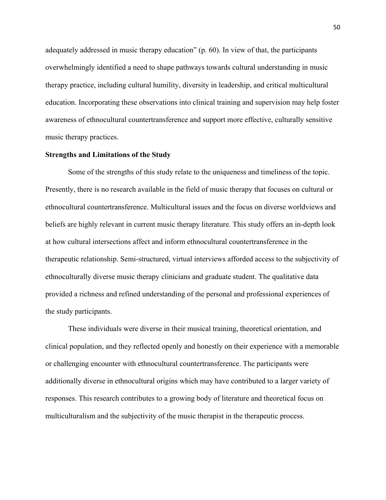adequately addressed in music therapy education" (p. 60). In view of that, the participants overwhelmingly identified a need to shape pathways towards cultural understanding in music therapy practice, including cultural humility, diversity in leadership, and critical multicultural education. Incorporating these observations into clinical training and supervision may help foster awareness of ethnocultural countertransference and support more effective, culturally sensitive music therapy practices.

### **Strengths and Limitations of the Study**

 Some of the strengths of this study relate to the uniqueness and timeliness of the topic. Presently, there is no research available in the field of music therapy that focuses on cultural or ethnocultural countertransference. Multicultural issues and the focus on diverse worldviews and beliefs are highly relevant in current music therapy literature. This study offers an in-depth look at how cultural intersections affect and inform ethnocultural countertransference in the therapeutic relationship. Semi-structured, virtual interviews afforded access to the subjectivity of ethnoculturally diverse music therapy clinicians and graduate student. The qualitative data provided a richness and refined understanding of the personal and professional experiences of the study participants.

 These individuals were diverse in their musical training, theoretical orientation, and clinical population, and they reflected openly and honestly on their experience with a memorable or challenging encounter with ethnocultural countertransference. The participants were additionally diverse in ethnocultural origins which may have contributed to a larger variety of responses. This research contributes to a growing body of literature and theoretical focus on multiculturalism and the subjectivity of the music therapist in the therapeutic process.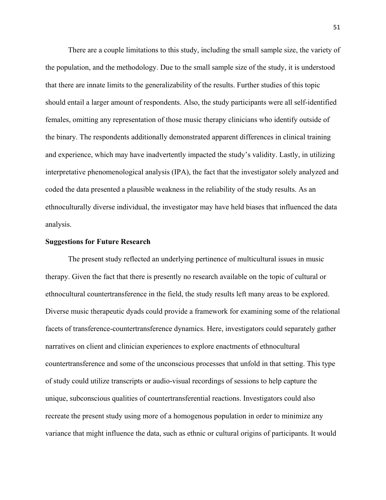There are a couple limitations to this study, including the small sample size, the variety of the population, and the methodology. Due to the small sample size of the study, it is understood that there are innate limits to the generalizability of the results. Further studies of this topic should entail a larger amount of respondents. Also, the study participants were all self-identified females, omitting any representation of those music therapy clinicians who identify outside of the binary. The respondents additionally demonstrated apparent differences in clinical training and experience, which may have inadvertently impacted the study's validity. Lastly, in utilizing interpretative phenomenological analysis (IPA), the fact that the investigator solely analyzed and coded the data presented a plausible weakness in the reliability of the study results. As an ethnoculturally diverse individual, the investigator may have held biases that influenced the data analysis.

### **Suggestions for Future Research**

The present study reflected an underlying pertinence of multicultural issues in music therapy. Given the fact that there is presently no research available on the topic of cultural or ethnocultural countertransference in the field, the study results left many areas to be explored. Diverse music therapeutic dyads could provide a framework for examining some of the relational facets of transference-countertransference dynamics. Here, investigators could separately gather narratives on client and clinician experiences to explore enactments of ethnocultural countertransference and some of the unconscious processes that unfold in that setting. This type of study could utilize transcripts or audio-visual recordings of sessions to help capture the unique, subconscious qualities of countertransferential reactions. Investigators could also recreate the present study using more of a homogenous population in order to minimize any variance that might influence the data, such as ethnic or cultural origins of participants. It would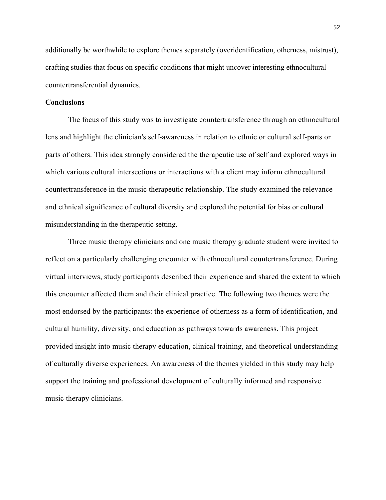additionally be worthwhile to explore themes separately (overidentification, otherness, mistrust), crafting studies that focus on specific conditions that might uncover interesting ethnocultural countertransferential dynamics.

### **Conclusions**

The focus of this study was to investigate countertransference through an ethnocultural lens and highlight the clinician's self-awareness in relation to ethnic or cultural self-parts or parts of others. This idea strongly considered the therapeutic use of self and explored ways in which various cultural intersections or interactions with a client may inform ethnocultural countertransference in the music therapeutic relationship. The study examined the relevance and ethnical significance of cultural diversity and explored the potential for bias or cultural misunderstanding in the therapeutic setting.

Three music therapy clinicians and one music therapy graduate student were invited to reflect on a particularly challenging encounter with ethnocultural countertransference. During virtual interviews, study participants described their experience and shared the extent to which this encounter affected them and their clinical practice. The following two themes were the most endorsed by the participants: the experience of otherness as a form of identification, and cultural humility, diversity, and education as pathways towards awareness. This project provided insight into music therapy education, clinical training, and theoretical understanding of culturally diverse experiences. An awareness of the themes yielded in this study may help support the training and professional development of culturally informed and responsive music therapy clinicians.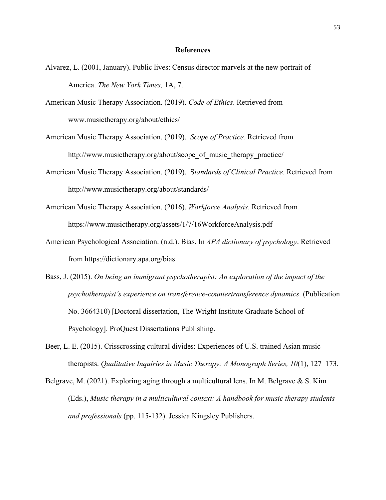#### **References**

- Alvarez, L. (2001, January). Public lives: Census director marvels at the new portrait of America. *The New York Times,* 1A, 7.
- American Music Therapy Association. (2019). *Code of Ethics*. Retrieved from www.musictherapy.org/about/ethics/
- American Music Therapy Association. (2019). *Scope of Practice.* Retrieved from http://www.musictherapy.org/about/scope of music therapy practice/
- American Music Therapy Association. (2019). S*tandards of Clinical Practice.* Retrieved from http://www.musictherapy.org/about/standards/
- American Music Therapy Association. (2016). *Workforce Analysis*. Retrieved from https://www.musictherapy.org/assets/1/7/16WorkforceAnalysis.pdf
- American Psychological Association. (n.d.). Bias. In *APA dictionary of psychology*. Retrieved from<https://dictionary.apa.org/bias>
- Bass, J. (2015). *On being an immigrant psychotherapist: An exploration of the impact of the psychotherapist's experience on transference-countertransference dynamics*. (Publication No. 3664310) [Doctoral dissertation, The Wright Institute Graduate School of Psychology]. ProQuest Dissertations Publishing.
- Beer, L. E. (2015). Crisscrossing cultural divides: Experiences of U.S. trained Asian music therapists. *Qualitative Inquiries in Music Therapy: A Monograph Series, 10*(1), 127–173.
- Belgrave, M. (2021). Exploring aging through a multicultural lens. In M. Belgrave & S. Kim (Eds.), *Music therapy in a multicultural context: A handbook for music therapy students and professionals* (pp. 115-132). Jessica Kingsley Publishers.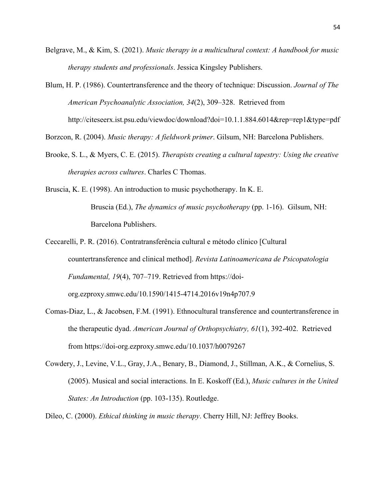- Belgrave, M., & Kim, S. (2021). *Music therapy in a multicultural context: A handbook for music therapy students and professionals*. Jessica Kingsley Publishers.
- Blum, H. P. (1986). Countertransference and the theory of technique: Discussion. *Journal of The American Psychoanalytic Association, 34*(2), 309–328. Retrieved from <http://citeseerx.ist.psu.edu/viewdoc/download?doi=10.1.1.884.6014&rep=rep1&type=pdf>

Borzcon, R. (2004). *Music therapy: A fieldwork primer*. Gilsum, NH: Barcelona Publishers.

- Brooke, S. L., & Myers, C. E. (2015). *Therapists creating a cultural tapestry: Using the creative therapies across cultures*. Charles C Thomas.
- Bruscia, K. E. (1998). An introduction to music psychotherapy. In K. E. Bruscia (Ed.), *The dynamics of music psychotherapy* (pp. 1-16). Gilsum, NH: Barcelona Publishers.
- Ceccarelli, P. R. (2016). Contratransferência cultural e método clínico [Cultural countertransference and clinical method]. *Revista Latinoamericana de Psicopatologia Fundamental, 19*(4), 707–719. Retrieved from https://doi-

org.ezproxy.smwc.edu/10.1590/1415-4714.2016v19n4p707.9

- Comas-Diaz, L., & Jacobsen, F.M. (1991). Ethnocultural transference and countertransference in the therapeutic dyad. *American Journal of Orthopsychiatry, 61*(1), 392-402. Retrieved from https://doi-org.ezproxy.smwc.edu/10.1037/h0079267
- Cowdery, J., Levine, V.L., Gray, J.A., Benary, B., Diamond, J., Stillman, A.K., & Cornelius, S. (2005). Musical and social interactions. In E. Koskoff (Ed.), *Music cultures in the United States: An Introduction* (pp. 103-135). Routledge.

Dileo, C. (2000). *Ethical thinking in music therapy*. Cherry Hill, NJ: Jeffrey Books.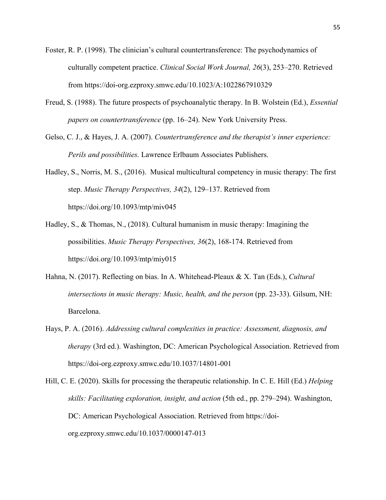- Foster, R. P. (1998). The clinician's cultural countertransference: The psychodynamics of culturally competent practice. *Clinical Social Work Journal, 26*(3), 253–270. Retrieved from<https://doi-org.ezproxy.smwc.edu/10.1023/A:1022867910329>
- Freud, S. (1988). The future prospects of psychoanalytic therapy. In B. Wolstein (Ed.), *Essential papers on countertransference* (pp. 16–24). New York University Press.
- Gelso, C. J., & Hayes, J. A. (2007). *Countertransference and the therapist's inner experience: Perils and possibilities.* Lawrence Erlbaum Associates Publishers.
- Hadley, S., Norris, M. S., (2016). Musical multicultural competency in music therapy: The first step. *Music Therapy Perspectives, 34*(2), 129–137. Retrieved from <https://doi.org/10.1093/mtp/miv045>
- Hadley, S., & Thomas, N., (2018). Cultural humanism in music therapy: Imagining the possibilities. *Music Therapy Perspectives, 36*(2), 168-174. Retrieved from https://doi.org/10.1093/mtp/miy015
- Hahna, N. (2017). Reflecting on bias. In A. Whitehead-Pleaux & X. Tan (Eds.), *Cultural intersections in music therapy: Music, health, and the person* (pp. 23-33). Gilsum, NH: Barcelona.
- Hays, P. A. (2016). *Addressing cultural complexities in practice: Assessment, diagnosis, and therapy* (3rd ed.). Washington, DC: American Psychological Association. Retrieved from https://doi-org.ezproxy.smwc.edu/10.1037/14801-001

Hill, C. E. (2020). Skills for processing the therapeutic relationship. In C. E. Hill (Ed.) *Helping skills: Facilitating exploration, insight, and action* (5th ed., pp. 279–294). Washington, DC: American Psychological Association. Retrieved from https://doiorg.ezproxy.smwc.edu/10.1037/0000147-013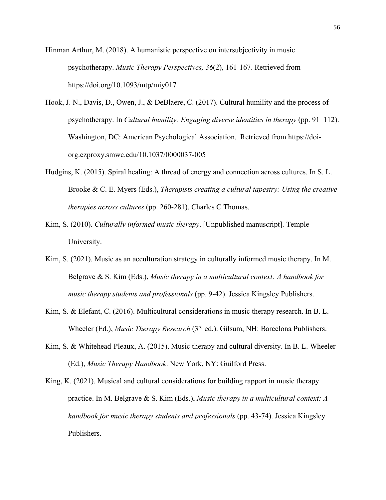Hinman Arthur, M. (2018). A humanistic perspective on intersubjectivity in music psychotherapy. *Music Therapy Perspectives, 36*(2), 161-167. Retrieved from https://doi.org/10.1093/mtp/miy017

- Hook, J. N., Davis, D., Owen, J., & DeBlaere, C. (2017). Cultural humility and the process of psychotherapy. In *Cultural humility: Engaging diverse identities in therapy* (pp. 91–112). Washington, DC: American Psychological Association. Retrieved from https://doiorg.ezproxy.smwc.edu/10.1037/0000037-005
- Hudgins, K. (2015). Spiral healing: A thread of energy and connection across cultures. In S. L. Brooke & C. E. Myers (Eds.), *Therapists creating a cultural tapestry: Using the creative therapies across cultures* (pp. 260-281). Charles C Thomas.
- Kim, S. (2010). *Culturally informed music therapy*. [Unpublished manuscript]. Temple University.
- Kim, S. (2021). Music as an acculturation strategy in culturally informed music therapy. In M. Belgrave & S. Kim (Eds.), *Music therapy in a multicultural context: A handbook for music therapy students and professionals* (pp. 9-42). Jessica Kingsley Publishers.
- Kim, S. & Elefant, C. (2016). Multicultural considerations in music therapy research. In B. L. Wheeler (Ed.), *Music Therapy Research* (3rd ed.). Gilsum, NH: Barcelona Publishers.
- Kim, S. & Whitehead-Pleaux, A. (2015). Music therapy and cultural diversity. In B. L. Wheeler (Ed.), *Music Therapy Handbook*. New York, NY: Guilford Press.

King, K. (2021). Musical and cultural considerations for building rapport in music therapy practice. In M. Belgrave & S. Kim (Eds.), *Music therapy in a multicultural context: A handbook for music therapy students and professionals* (pp. 43-74). Jessica Kingsley Publishers.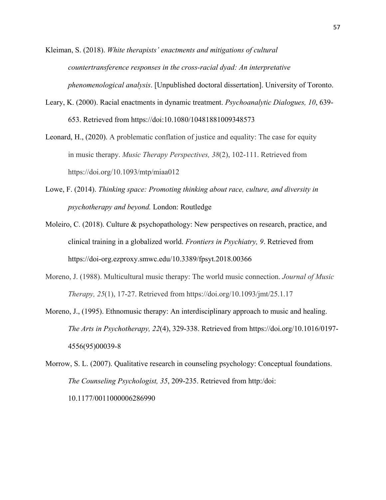Kleiman, S. (2018). *White therapists' enactments and mitigations of cultural countertransference responses in the cross-racial dyad: An interpretative phenomenological analysis*. [Unpublished doctoral dissertation]. University of Toronto.

- Leary, K. (2000). Racial enactments in dynamic treatment. *Psychoanalytic Dialogues, 10*, 639- 653. Retrieved from https://doi:10.1080/10481881009348573
- Leonard, H., (2020). [A problematic conflation of justice and equality: The case](https://academic.oup.com/mtp/article/38/2/102/5871140?searchresult=1) for equity [in music therapy.](https://academic.oup.com/mtp/article/38/2/102/5871140?searchresult=1) *Music Therapy Perspectives, 38*(2), 102-111. Retrieved from https://doi.org/10.1093/mtp/miaa012
- Lowe, F. (2014). *Thinking space: Promoting thinking about race, culture, and diversity in psychotherapy and beyond.* London: Routledge
- Moleiro, C. (2018). Culture & psychopathology: New perspectives on research, practice, and clinical training in a globalized world. *Frontiers in Psychiatry, 9*. Retrieved from https://doi-org.ezproxy.smwc.edu/10.3389/fpsyt.2018.00366
- Moreno, J. (1988). Multicultural music therapy: The world music connection. *Journal of Music Therapy, 25*(1), 17-27. Retrieved from https://doi.org/10.1093/jmt/25.1.17
- Moreno, J., (1995). Ethnomusic therapy: An interdisciplinary approach to music and healing. *The Arts in Psychotherapy, 22*(4), 329-338. Retrieved from https://doi.org/10.1016/0197- 4556(95)00039-8

Morrow, S. L. (2007). Qualitative research in counseling psychology: Conceptual foundations. *The Counseling Psychologist, 35*, 209-235. Retrieved from http:/doi: 10.1177/0011000006286990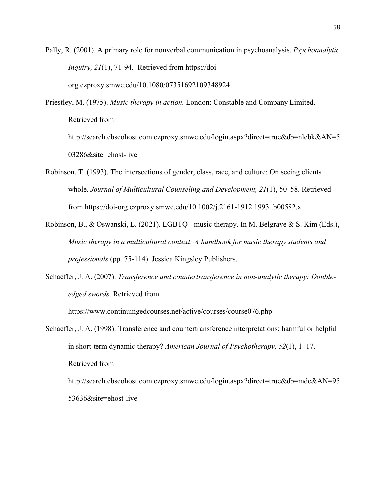Pally, R. (2001). A primary role for nonverbal communication in psychoanalysis. *Psychoanalytic Inquiry, 21*(1), 71-94. Retrieved from https://doi-

org.ezproxy.smwc.edu/10.1080/07351692109348924

Priestley, M. (1975). *Music therapy in action.* London: Constable and Company Limited. Retrieved from http://search.ebscohost.com.ezproxy.smwc.edu/login.aspx?direct=true&db=nlebk&AN=5 03286&site=ehost-live

- Robinson, T. (1993). The intersections of gender, class, race, and culture: On seeing clients whole. *Journal of Multicultural Counseling and Development, 21*(1), 50–58. Retrieved from https://doi-org.ezproxy.smwc.edu/10.1002/j.2161-1912.1993.tb00582.x
- Robinson, B., & Oswanski, L. (2021). LGBTQ+ music therapy. In M. Belgrave & S. Kim (Eds.), *Music therapy in a multicultural context: A handbook for music therapy students and professionals* (pp. 75-114). Jessica Kingsley Publishers.
- Schaeffer, J. A. (2007). *Transference and countertransference in non-analytic therapy: Doubleedged swords*. Retrieved from

<https://www.continuingedcourses.net/active/courses/course076.php>

53636&site=ehost-live

Schaeffer, J. A. (1998). Transference and countertransference interpretations: harmful or helpful in short-term dynamic therapy? *American Journal of Psychotherapy, 52*(1), 1–17. Retrieved from http://search.ebscohost.com.ezproxy.smwc.edu/login.aspx?direct=true&db=mdc&AN=95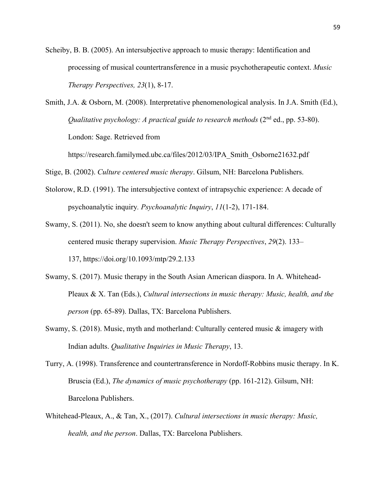Scheiby, B. B. (2005). An intersubjective approach to music therapy: Identification and processing of musical countertransference in a music psychotherapeutic context. *Music Therapy Perspectives, 23*(1), 8-17.

Smith, J.A. & Osborn, M. (2008). Interpretative phenomenological analysis. In J.A. Smith (Ed.), *Qualitative psychology: A practical guide to research methods* (2<sup>nd</sup> ed., pp. 53-80). London: Sage. Retrieved from

https://research.familymed.ubc.ca/files/2012/03/IPA\_Smith\_Osborne21632.pdf

Stige, B. (2002). *Culture centered music therapy*. Gilsum, NH: Barcelona Publishers.

- Stolorow, R.D. (1991). The intersubjective context of intrapsychic experience: A decade of psychoanalytic inquiry*. Psychoanalytic Inquiry*, *11*(1-2), 171-184.
- Swamy, S. (2011). No, she doesn't seem to know anything about cultural differences: Culturally centered music therapy supervision. *Music Therapy Perspectives*, *29*(2). 133– 137, https://doi.org/10.1093/mtp/29.2.133
- Swamy, S. (2017). Music therapy in the South Asian American diaspora. In A. Whitehead-Pleaux & X. Tan (Eds.), *Cultural intersections in music therapy: Music, health, and the person* (pp. 65-89). Dallas, TX: Barcelona Publishers.
- Swamy, S. (2018). Music, myth and motherland: Culturally centered music & imagery with Indian adults. *Qualitative Inquiries in Music Therapy*, 13.
- Turry, A. (1998). Transference and countertransference in Nordoff-Robbins music therapy. In K. Bruscia (Ed.), *The dynamics of music psychotherapy* (pp. 161-212). Gilsum, NH: Barcelona Publishers.
- Whitehead-Pleaux, A., & Tan, X., (2017). *Cultural intersections in music therapy: Music, health, and the person*. Dallas, TX: Barcelona Publishers.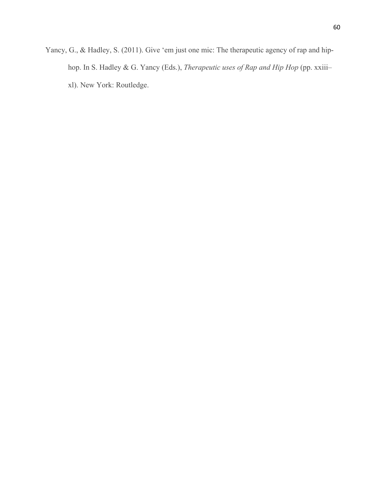Yancy, G., & Hadley, S. (2011). Give 'em just one mic: The therapeutic agency of rap and hiphop. In S. Hadley & G. Yancy (Eds.), *Therapeutic uses of Rap and Hip Hop* (pp. xxiii– xl). New York: Routledge.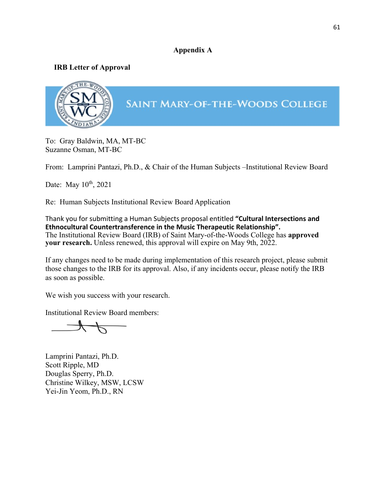# **Appendix A**

# **IRB Letter of Approval**



To: Gray Baldwin, MA, MT-BC Suzanne Osman, MT-BC

From: Lamprini Pantazi, Ph.D., & Chair of the Human Subjects –Institutional Review Board

Date: May 10<sup>th</sup>, 2021

Re: Human Subjects Institutional Review Board Application

Thank you for submitting a Human Subjects proposal entitled **"Cultural Intersections and Ethnocultural Countertransference in the Music Therapeutic Relationship".** The Institutional Review Board (IRB) of Saint Mary-of-the-Woods College has **approved your research.** Unless renewed, this approval will expire on May 9th, 2022.

If any changes need to be made during implementation of this research project, please submit those changes to the IRB for its approval. Also, if any incidents occur, please notify the IRB as soon as possible.

We wish you success with your research.

Institutional Review Board members:

 $4\not$ 

Lamprini Pantazi, Ph.D. Scott Ripple, MD Douglas Sperry, Ph.D. Christine Wilkey, MSW, LCSW Yei-Jin Yeom, Ph.D., RN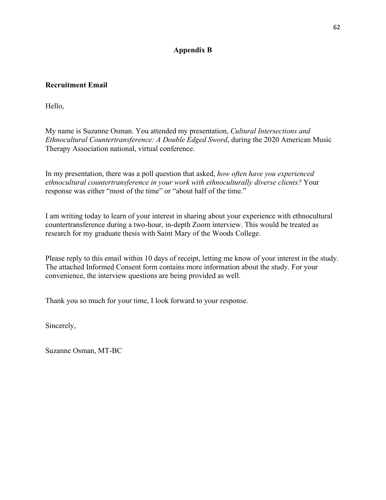# **Appendix B**

# **Recruitment Email**

Hello,

My name is Suzanne Osman. You attended my presentation, *Cultural Intersections and Ethnocultural Countertransference: A Double Edged Sword*, during the 2020 American Music Therapy Association national, virtual conference.

In my presentation, there was a poll question that asked, *how often have you experienced ethnocultural countertransference in your work with ethnoculturally diverse clients?* Your response was either "most of the time" or "about half of the time."

I am writing today to learn of your interest in sharing about your experience with ethnocultural countertransference during a two-hour, in-depth Zoom interview. This would be treated as research for my graduate thesis with Saint Mary of the Woods College.

Please reply to this email within 10 days of receipt, letting me know of your interest in the study. The attached Informed Consent form contains more information about the study. For your convenience, the interview questions are being provided as well.

Thank you so much for your time, I look forward to your response.

Sincerely,

Suzanne Osman, MT-BC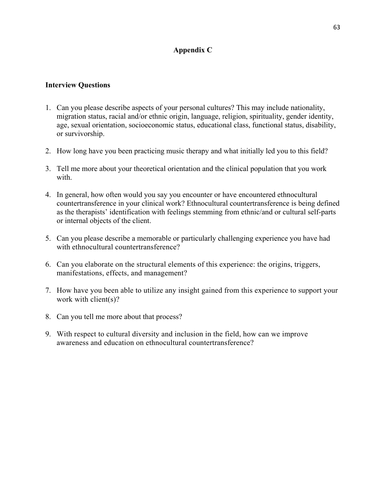# **Appendix C**

# **Interview Questions**

- 1. Can you please describe aspects of your personal cultures? This may include nationality, migration status, racial and/or ethnic origin, language, religion, spirituality, gender identity, age, sexual orientation, socioeconomic status, educational class, functional status, disability, or survivorship.
- 2. How long have you been practicing music therapy and what initially led you to this field?
- 3. Tell me more about your theoretical orientation and the clinical population that you work with.
- 4. In general, how often would you say you encounter or have encountered ethnocultural countertransference in your clinical work? Ethnocultural countertransference is being defined as the therapists' identification with feelings stemming from ethnic/and or cultural self-parts or internal objects of the client.
- 5. Can you please describe a memorable or particularly challenging experience you have had with ethnocultural countertransference?
- 6. Can you elaborate on the structural elements of this experience: the origins, triggers, manifestations, effects, and management?
- 7. How have you been able to utilize any insight gained from this experience to support your work with client(s)?
- 8. Can you tell me more about that process?
- 9. With respect to cultural diversity and inclusion in the field, how can we improve awareness and education on ethnocultural countertransference?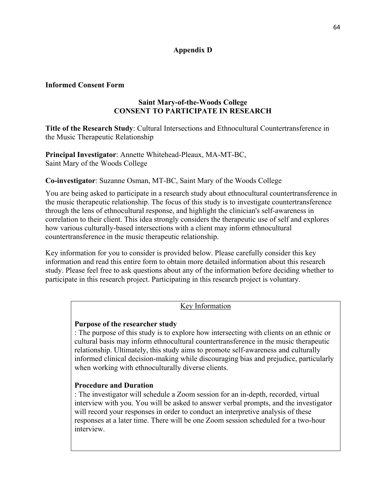# **Appendix D**

# **Informed Consent Form**

# **Saint Mary-of-the-Woods College CONSENT TO PARTICIPATE IN RESEARCH**

**Title of the Research Study**: Cultural Intersections and Ethnocultural Countertransference in the Music Therapeutic Relationship

**Principal Investigator**: Annette Whitehead-Pleaux, MA-MT-BC, Saint Mary of the Woods College

# **Co-investigator**: Suzanne Osman, MT-BC, Saint Mary of the Woods College

You are being asked to participate in a research study about ethnocultural countertransference in the music therapeutic relationship. The focus of this study is to investigate countertransference through the lens of ethnocultural response, and highlight the clinician's self-awareness in correlation to their client. This idea strongly considers the therapeutic use of self and explores how various culturally-based intersections with a client may inform ethnocultural countertransference in the music therapeutic relationship.

Key information for you to consider is provided below. Please carefully consider this key information and read this entire form to obtain more detailed information about this research study. Please feel free to ask questions about any of the information before deciding whether to participate in this research project. Participating in this research project is voluntary.

### Key Information

### **Purpose of the researcher study**

: The purpose of this study is to explore how intersecting with clients on an ethnic or cultural basis may inform ethnocultural countertransference in the music therapeutic relationship. Ultimately, this study aims to promote self-awareness and culturally informed clinical decision-making while discouraging bias and prejudice, particularly when working with ethnoculturally diverse clients.

### **Procedure and Duration**

: The investigator will schedule a Zoom session for an in-depth, recorded, virtual interview with you. You will be asked to answer verbal prompts, and the investigator will record your responses in order to conduct an interpretive analysis of these responses at a later time. There will be one Zoom session scheduled for a two-hour interview.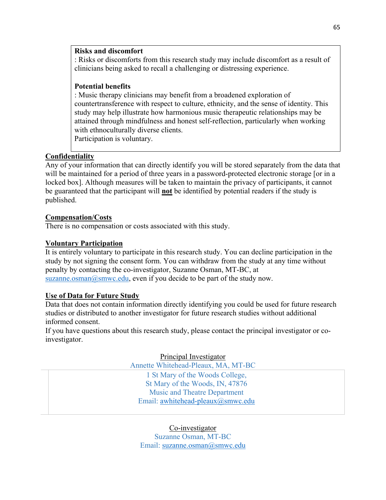### **Risks and discomfort**

: Risks or discomforts from this research study may include discomfort as a result of clinicians being asked to recall a challenging or distressing experience.

# **Potential benefits**

: Music therapy clinicians may benefit from a broadened exploration of countertransference with respect to culture, ethnicity, and the sense of identity. This study may help illustrate how harmonious music therapeutic relationships may be attained through mindfulness and honest self-reflection, particularly when working with ethnoculturally diverse clients. Participation is voluntary.

**Confidentiality**

Any of your information that can directly identify you will be stored separately from the data that will be maintained for a period of three years in a password-protected electronic storage [or in a locked box]. Although measures will be taken to maintain the privacy of participants, it cannot be guaranteed that the participant will **not** be identified by potential readers if the study is published.

# **Compensation/Costs**

There is no compensation or costs associated with this study.

# **Voluntary Participation**

It is entirely voluntary to participate in this research study. You can decline participation in the study by not signing the consent form. You can withdraw from the study at any time without penalty by contacting the co-investigator, Suzanne Osman, MT-BC, at suzanne.osman $@s$ mwc.edu, even if you decide to be part of the study now.

### **Use of Data for Future Study**

Data that does not contain information directly identifying you could be used for future research studies or distributed to another investigator for future research studies without additional informed consent.

If you have questions about this research study, please contact the principal investigator or coinvestigator.

Principal Investigator

Annette Whitehead-Pleaux, MA, MT-BC

1 St Mary of the Woods College, St Mary of the Woods, IN, 47876 Music and Theatre Department Email: [awhitehead-pleaux@smwc.edu](mailto:awhitehead-pleaux@smwc.edu)

Co-investigator Suzanne Osman, MT-BC Email: [suzanne.osman@smwc.edu](mailto:suzanne.osman@smwc.edu)